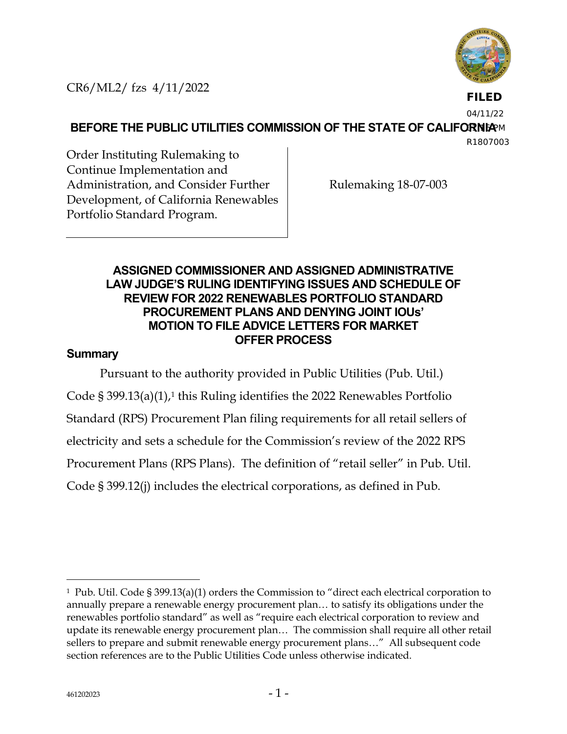

**FILED**

04/11/22

**BEFORE THE PUBLIC UTILITIES COMMISSION OF THE STATE OF CALIFORNIAM** 

R1807003

Order Instituting Rulemaking to Continue Implementation and Administration, and Consider Further Development, of California Renewables Portfolio Standard Program.

Rulemaking 18-07-003

## **ASSIGNED COMMISSIONER AND ASSIGNED ADMINISTRATIVE LAW JUDGE'S RULING IDENTIFYING ISSUES AND SCHEDULE OF REVIEW FOR 2022 RENEWABLES PORTFOLIO STANDARD PROCUREMENT PLANS AND DENYING JOINT IOUs' MOTION TO FILE ADVICE LETTERS FOR MARKET OFFER PROCESS**

## **Summary**

Pursuant to the authority provided in Public Utilities (Pub. Util.) Code § 399.13(a)(1),<sup>1</sup> this Ruling identifies the 2022 Renewables Portfolio Standard (RPS) Procurement Plan filing requirements for all retail sellers of electricity and sets a schedule for the Commission's review of the 2022 RPS Procurement Plans (RPS Plans). The definition of "retail seller" in Pub. Util. Code § 399.12(j) includes the electrical corporations, as defined in Pub.

<sup>1</sup> Pub. Util. Code § 399.13(a)(1) orders the Commission to "direct each electrical corporation to annually prepare a renewable energy procurement plan… to satisfy its obligations under the renewables portfolio standard" as well as "require each electrical corporation to review and update its renewable energy procurement plan… The commission shall require all other retail sellers to prepare and submit renewable energy procurement plans…" All subsequent code section references are to the Public Utilities Code unless otherwise indicated.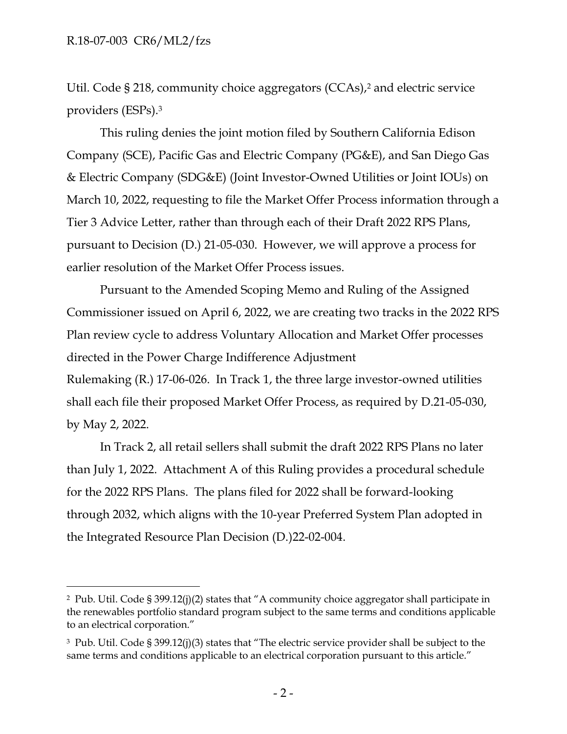Util. Code § 218, community choice aggregators (CCAs),<sup>2</sup> and electric service providers (ESPs).<sup>3</sup>

This ruling denies the joint motion filed by Southern California Edison Company (SCE), Pacific Gas and Electric Company (PG&E), and San Diego Gas & Electric Company (SDG&E) (Joint Investor-Owned Utilities or Joint IOUs) on March 10, 2022, requesting to file the Market Offer Process information through a Tier 3 Advice Letter, rather than through each of their Draft 2022 RPS Plans, pursuant to Decision (D.) 21-05-030. However, we will approve a process for earlier resolution of the Market Offer Process issues.

Pursuant to the Amended Scoping Memo and Ruling of the Assigned Commissioner issued on April 6, 2022, we are creating two tracks in the 2022 RPS Plan review cycle to address Voluntary Allocation and Market Offer processes directed in the Power Charge Indifference Adjustment Rulemaking (R.) 17-06-026. In Track 1, the three large investor-owned utilities shall each file their proposed Market Offer Process, as required by D.21-05-030, by May 2, 2022.

In Track 2, all retail sellers shall submit the draft 2022 RPS Plans no later than July 1, 2022. Attachment A of this Ruling provides a procedural schedule for the 2022 RPS Plans. The plans filed for 2022 shall be forward-looking through 2032, which aligns with the 10-year Preferred System Plan adopted in the Integrated Resource Plan Decision (D.)22-02-004.

<sup>2</sup> Pub. Util. Code § 399.12(j)(2) states that "A community choice aggregator shall participate in the renewables portfolio standard program subject to the same terms and conditions applicable to an electrical corporation."

<sup>3</sup> Pub. Util. Code § 399.12(j)(3) states that "The electric service provider shall be subject to the same terms and conditions applicable to an electrical corporation pursuant to this article."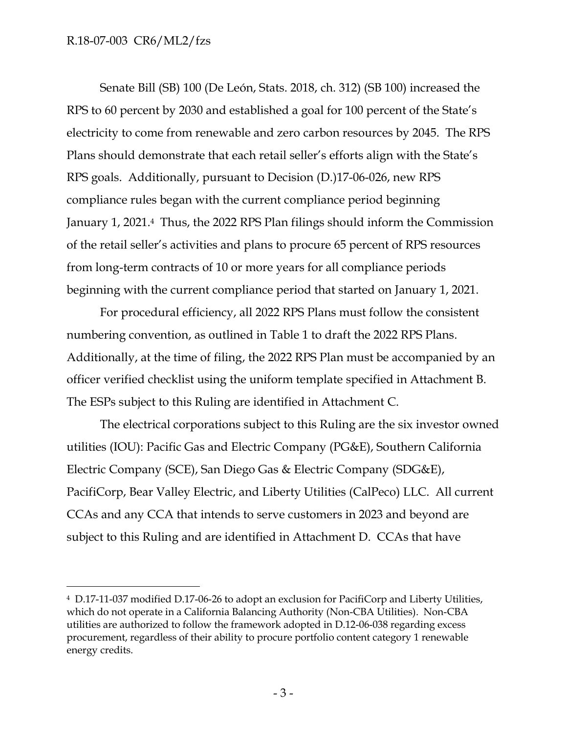#### R.18-07-003 CR6/ML2/fzs

Senate Bill (SB) 100 (De León, Stats. 2018, ch. 312) (SB 100) increased the RPS to 60 percent by 2030 and established a goal for 100 percent of the State's electricity to come from renewable and zero carbon resources by 2045. The RPS Plans should demonstrate that each retail seller's efforts align with the State's RPS goals. Additionally, pursuant to Decision (D.)17-06-026, new RPS compliance rules began with the current compliance period beginning January 1, 2021. <sup>4</sup> Thus, the 2022 RPS Plan filings should inform the Commission of the retail seller's activities and plans to procure 65 percent of RPS resources from long-term contracts of 10 or more years for all compliance periods beginning with the current compliance period that started on January 1, 2021.

For procedural efficiency, all 2022 RPS Plans must follow the consistent numbering convention, as outlined in Table 1 to draft the 2022 RPS Plans. Additionally, at the time of filing, the 2022 RPS Plan must be accompanied by an officer verified checklist using the uniform template specified in Attachment B. The ESPs subject to this Ruling are identified in Attachment C.

The electrical corporations subject to this Ruling are the six investor owned utilities (IOU): Pacific Gas and Electric Company (PG&E), Southern California Electric Company (SCE), San Diego Gas & Electric Company (SDG&E), PacifiCorp, Bear Valley Electric, and Liberty Utilities (CalPeco) LLC. All current CCAs and any CCA that intends to serve customers in 2023 and beyond are subject to this Ruling and are identified in Attachment D. CCAs that have

<sup>4</sup> D.17-11-037 modified D.17-06-26 to adopt an exclusion for PacifiCorp and Liberty Utilities, which do not operate in a California Balancing Authority (Non-CBA Utilities). Non-CBA utilities are authorized to follow the framework adopted in D.12-06-038 regarding excess procurement, regardless of their ability to procure portfolio content category 1 renewable energy credits.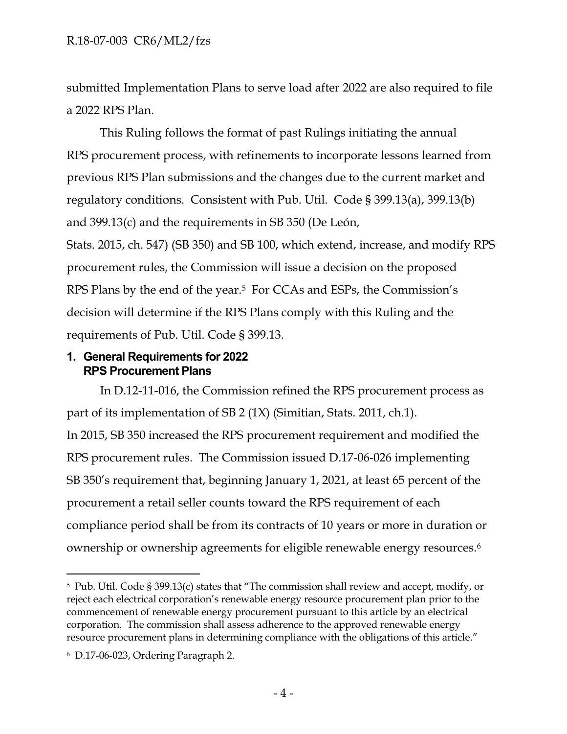submitted Implementation Plans to serve load after 2022 are also required to file a 2022 RPS Plan.

This Ruling follows the format of past Rulings initiating the annual RPS procurement process, with refinements to incorporate lessons learned from previous RPS Plan submissions and the changes due to the current market and regulatory conditions. Consistent with Pub. Util. Code § 399.13(a), 399.13(b) and 399.13(c) and the requirements in SB 350 (De León,

Stats. 2015, ch. 547) (SB 350) and SB 100, which extend, increase, and modify RPS procurement rules, the Commission will issue a decision on the proposed RPS Plans by the end of the year.<sup>5</sup> For CCAs and ESPs, the Commission's decision will determine if the RPS Plans comply with this Ruling and the requirements of Pub. Util. Code § 399.13.

#### **1. General Requirements for 2022 RPS Procurement Plans**

In D.12-11-016, the Commission refined the RPS procurement process as part of its implementation of SB 2 (1X) (Simitian, Stats. 2011, ch.1). In 2015, SB 350 increased the RPS procurement requirement and modified the RPS procurement rules. The Commission issued D.17-06-026 implementing SB 350's requirement that, beginning January 1, 2021, at least 65 percent of the procurement a retail seller counts toward the RPS requirement of each compliance period shall be from its contracts of 10 years or more in duration or ownership or ownership agreements for eligible renewable energy resources.<sup>6</sup>

<sup>5</sup> Pub. Util. Code § 399.13(c) states that "The commission shall review and accept, modify, or reject each electrical corporation's renewable energy resource procurement plan prior to the commencement of renewable energy procurement pursuant to this article by an electrical corporation. The commission shall assess adherence to the approved renewable energy resource procurement plans in determining compliance with the obligations of this article."

<sup>6</sup> D.17-06-023, Ordering Paragraph 2.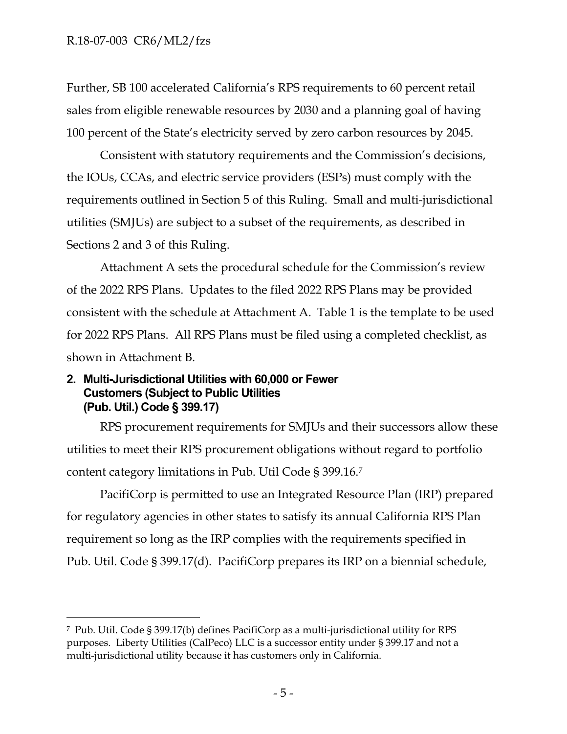Further, SB 100 accelerated California's RPS requirements to 60 percent retail sales from eligible renewable resources by 2030 and a planning goal of having 100 percent of the State's electricity served by zero carbon resources by 2045.

Consistent with statutory requirements and the Commission's decisions, the IOUs, CCAs, and electric service providers (ESPs) must comply with the requirements outlined in Section 5 of this Ruling. Small and multi-jurisdictional utilities (SMJUs) are subject to a subset of the requirements, as described in Sections 2 and 3 of this Ruling.

Attachment A sets the procedural schedule for the Commission's review of the 2022 RPS Plans. Updates to the filed 2022 RPS Plans may be provided consistent with the schedule at Attachment A. Table 1 is the template to be used for 2022 RPS Plans. All RPS Plans must be filed using a completed checklist, as shown in Attachment B.

#### **2. Multi-Jurisdictional Utilities with 60,000 or Fewer Customers (Subject to Public Utilities (Pub. Util.) Code § 399.17)**

RPS procurement requirements for SMJUs and their successors allow these utilities to meet their RPS procurement obligations without regard to portfolio content category limitations in Pub. Util Code § 399.16.<sup>7</sup>

PacifiCorp is permitted to use an Integrated Resource Plan (IRP) prepared for regulatory agencies in other states to satisfy its annual California RPS Plan requirement so long as the IRP complies with the requirements specified in Pub. Util. Code § 399.17(d). PacifiCorp prepares its IRP on a biennial schedule,

<sup>7</sup> Pub. Util. Code § 399.17(b) defines PacifiCorp as a multi-jurisdictional utility for RPS purposes. Liberty Utilities (CalPeco) LLC is a successor entity under § 399.17 and not a multi-jurisdictional utility because it has customers only in California.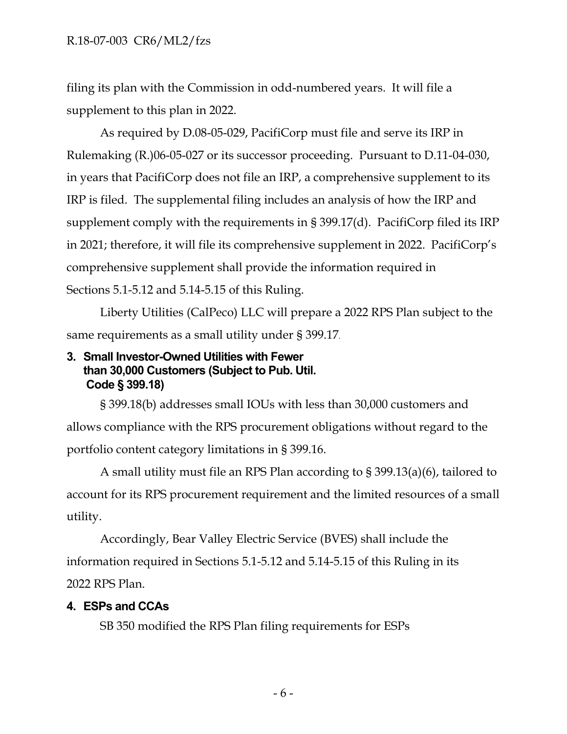filing its plan with the Commission in odd-numbered years. It will file a supplement to this plan in 2022.

As required by D.08-05-029, PacifiCorp must file and serve its IRP in Rulemaking (R.)06-05-027 or its successor proceeding. Pursuant to D.11-04-030, in years that PacifiCorp does not file an IRP, a comprehensive supplement to its IRP is filed. The supplemental filing includes an analysis of how the IRP and supplement comply with the requirements in § 399.17(d). PacifiCorp filed its IRP in 2021; therefore, it will file its comprehensive supplement in 2022. PacifiCorp's comprehensive supplement shall provide the information required in Sections 5.1-5.12 and 5.14-5.15 of this Ruling.

Liberty Utilities (CalPeco) LLC will prepare a 2022 RPS Plan subject to the same requirements as a small utility under § 399.17.

## **3. Small Investor-Owned Utilities with Fewer than 30,000 Customers (Subject to Pub. Util. Code § 399.18)**

§ 399.18(b) addresses small IOUs with less than 30,000 customers and allows compliance with the RPS procurement obligations without regard to the portfolio content category limitations in § 399.16.

A small utility must file an RPS Plan according to § 399.13(a)(6), tailored to account for its RPS procurement requirement and the limited resources of a small utility.

Accordingly, Bear Valley Electric Service (BVES) shall include the information required in Sections 5.1-5.12 and 5.14-5.15 of this Ruling in its 2022 RPS Plan.

## **4. ESPs and CCAs**

SB 350 modified the RPS Plan filing requirements for ESPs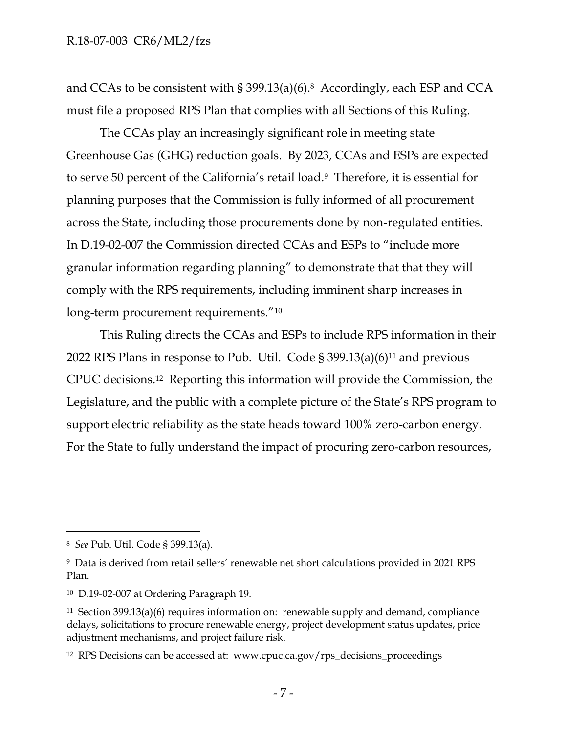and CCAs to be consistent with § 399.13(a)(6).8 Accordingly, each ESP and CCA must file a proposed RPS Plan that complies with all Sections of this Ruling.

The CCAs play an increasingly significant role in meeting state Greenhouse Gas (GHG) reduction goals. By 2023, CCAs and ESPs are expected to serve 50 percent of the California's retail load. <sup>9</sup> Therefore, it is essential for planning purposes that the Commission is fully informed of all procurement across the State, including those procurements done by non-regulated entities. In D.19-02-007 the Commission directed CCAs and ESPs to "include more granular information regarding planning" to demonstrate that that they will comply with the RPS requirements, including imminent sharp increases in long-term procurement requirements."<sup>10</sup>

This Ruling directs the CCAs and ESPs to include RPS information in their 2022 RPS Plans in response to Pub. Util. Code  $\S 399.13(a)(6)^{11}$  and previous CPUC decisions. <sup>12</sup> Reporting this information will provide the Commission, the Legislature, and the public with a complete picture of the State's RPS program to support electric reliability as the state heads toward 100% zero-carbon energy. For the State to fully understand the impact of procuring zero-carbon resources,

<sup>8</sup> *See* Pub. Util. Code § 399.13(a).

<sup>9</sup> Data is derived from retail sellers' renewable net short calculations provided in 2021 RPS Plan.

<sup>10</sup> D.19-02-007 at Ordering Paragraph 19.

<sup>&</sup>lt;sup>11</sup> Section 399.13(a)(6) requires information on: renewable supply and demand, compliance delays, solicitations to procure renewable energy, project development status updates, price adjustment mechanisms, and project failure risk.

<sup>12</sup> RPS Decisions can be accessed at: www.cpuc.ca.gov/rps\_decisions\_proceedings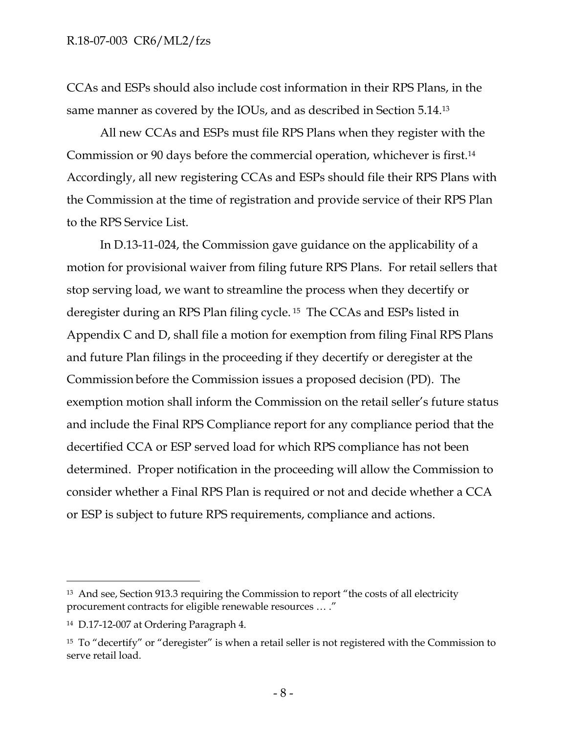#### R.18-07-003 CR6/ML2/fzs

CCAs and ESPs should also include cost information in their RPS Plans, in the same manner as covered by the IOUs, and as described in Section 5.14.<sup>13</sup>

All new CCAs and ESPs must file RPS Plans when they register with the Commission or 90 days before the commercial operation, whichever is first.<sup>14</sup> Accordingly, all new registering CCAs and ESPs should file their RPS Plans with the Commission at the time of registration and provide service of their RPS Plan to the RPS Service List.

In D.13-11-024, the Commission gave guidance on the applicability of a motion for provisional waiver from filing future RPS Plans. For retail sellers that stop serving load, we want to streamline the process when they decertify or deregister during an RPS Plan filing cycle. <sup>15</sup> The CCAs and ESPs listed in Appendix C and D, shall file a motion for exemption from filing Final RPS Plans and future Plan filings in the proceeding if they decertify or deregister at the Commission before the Commission issues a proposed decision (PD). The exemption motion shall inform the Commission on the retail seller's future status and include the Final RPS Compliance report for any compliance period that the decertified CCA or ESP served load for which RPS compliance has not been determined. Proper notification in the proceeding will allow the Commission to consider whether a Final RPS Plan is required or not and decide whether a CCA or ESP is subject to future RPS requirements, compliance and actions.

<sup>13</sup> And see, Section 913.3 requiring the Commission to report "the costs of all electricity procurement contracts for eligible renewable resources … ."

<sup>14</sup> D.17-12-007 at Ordering Paragraph 4.

<sup>&</sup>lt;sup>15</sup> To "decertify" or "deregister" is when a retail seller is not registered with the Commission to serve retail load.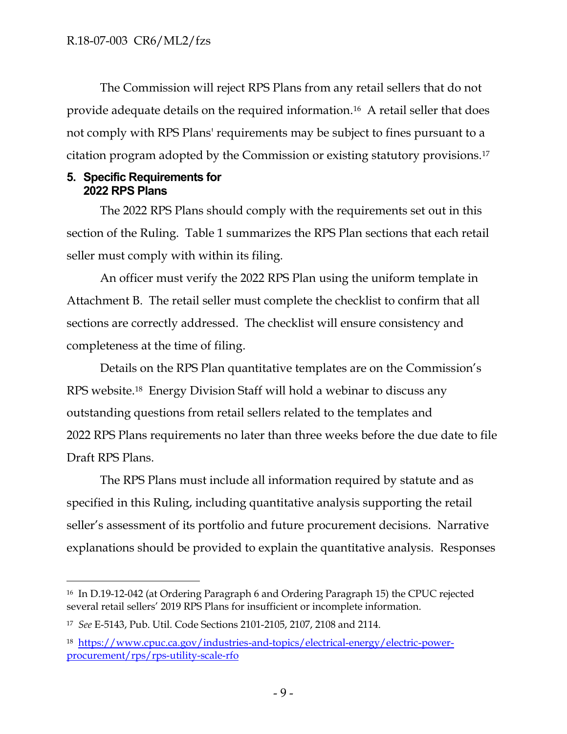The Commission will reject RPS Plans from any retail sellers that do not provide adequate details on the required information.<sup>16</sup> A retail seller that does not comply with RPS Plans' requirements may be subject to fines pursuant to a citation program adopted by the Commission or existing statutory provisions.<sup>17</sup>

#### **5. Specific Requirements for 2022 RPS Plans**

The 2022 RPS Plans should comply with the requirements set out in this section of the Ruling. Table 1 summarizes the RPS Plan sections that each retail seller must comply with within its filing.

An officer must verify the 2022 RPS Plan using the uniform template in Attachment B. The retail seller must complete the checklist to confirm that all sections are correctly addressed. The checklist will ensure consistency and completeness at the time of filing.

Details on the RPS Plan quantitative templates are on the Commission's RPS website.<sup>18</sup> Energy Division Staff will hold a webinar to discuss any outstanding questions from retail sellers related to the templates and 2022 RPS Plans requirements no later than three weeks before the due date to file Draft RPS Plans.

The RPS Plans must include all information required by statute and as specified in this Ruling, including quantitative analysis supporting the retail seller's assessment of its portfolio and future procurement decisions. Narrative explanations should be provided to explain the quantitative analysis. Responses

<sup>16</sup> In D.19-12-042 (at Ordering Paragraph 6 and Ordering Paragraph 15) the CPUC rejected several retail sellers' 2019 RPS Plans for insufficient or incomplete information.

<sup>17</sup> *See* E-5143, Pub. Util. Code Sections 2101-2105, 2107, 2108 and 2114.

<sup>18</sup> [https://www.cpuc.ca.gov/industries-and-topics/electrical-energy/electric-power](https://www.cpuc.ca.gov/industries-and-topics/electrical-energy/electric-power-procurement/rps/rps-utility-scale-rfo)[procurement/rps/rps-utility-scale-rfo](https://www.cpuc.ca.gov/industries-and-topics/electrical-energy/electric-power-procurement/rps/rps-utility-scale-rfo)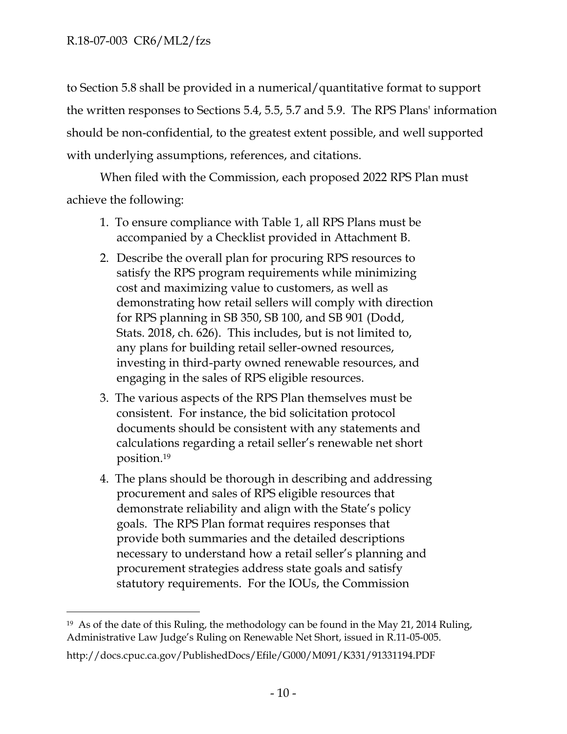to Section 5.8 shall be provided in a numerical/quantitative format to support the written responses to Sections 5.4, 5.5, 5.7 and 5.9. The RPS Plans' information should be non-confidential, to the greatest extent possible, and well supported with underlying assumptions, references, and citations.

When filed with the Commission, each proposed 2022 RPS Plan must achieve the following:

- 1. To ensure compliance with Table 1, all RPS Plans must be accompanied by a Checklist provided in Attachment B.
- 2. Describe the overall plan for procuring RPS resources to satisfy the RPS program requirements while minimizing cost and maximizing value to customers, as well as demonstrating how retail sellers will comply with direction for RPS planning in SB 350, SB 100, and SB 901 (Dodd, Stats. 2018, ch. 626). This includes, but is not limited to, any plans for building retail seller-owned resources, investing in third-party owned renewable resources, and engaging in the sales of RPS eligible resources.
- 3. The various aspects of the RPS Plan themselves must be consistent. For instance, the bid solicitation protocol documents should be consistent with any statements and calculations regarding a retail seller's renewable net short position. 19
- 4. The plans should be thorough in describing and addressing procurement and sales of RPS eligible resources that demonstrate reliability and align with the State's policy goals. The RPS Plan format requires responses that provide both summaries and the detailed descriptions necessary to understand how a retail seller's planning and procurement strategies address state goals and satisfy statutory requirements. For the IOUs, the Commission

<sup>&</sup>lt;sup>19</sup> As of the date of this Ruling, the methodology can be found in the May 21, 2014 Ruling, Administrative Law Judge's Ruling on Renewable Net Short, issued in R.11-05-005.

http://docs.cpuc.ca.gov/PublishedDocs/Efile/G000/M091/K331/91331194.PDF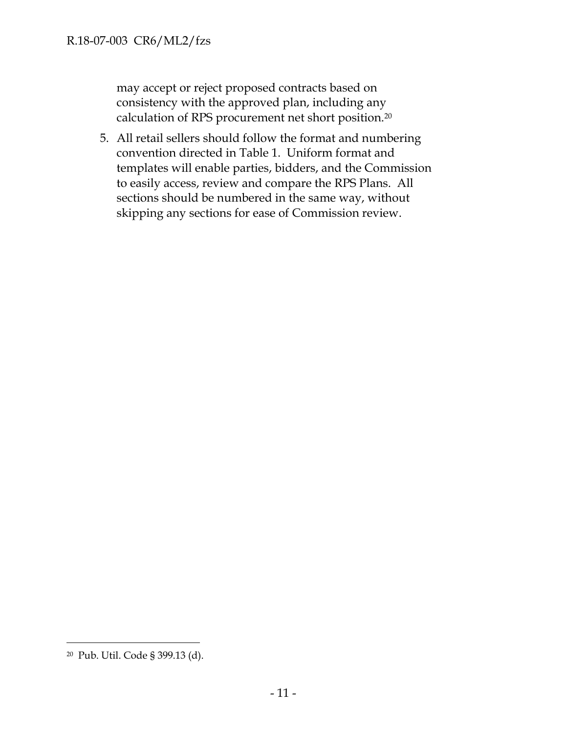may accept or reject proposed contracts based on consistency with the approved plan, including any calculation of RPS procurement net short position.<sup>20</sup>

5. All retail sellers should follow the format and numbering convention directed in Table 1. Uniform format and templates will enable parties, bidders, and the Commission to easily access, review and compare the RPS Plans. All sections should be numbered in the same way, without skipping any sections for ease of Commission review.

<sup>20</sup> Pub. Util. Code § 399.13 (d).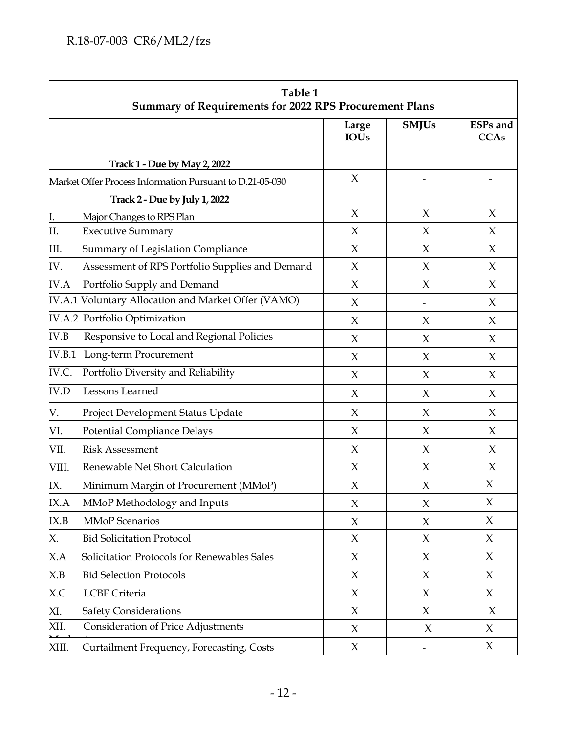| Table 1<br><b>Summary of Requirements for 2022 RPS Procurement Plans</b> |                                                          |                      |              |                                |
|--------------------------------------------------------------------------|----------------------------------------------------------|----------------------|--------------|--------------------------------|
|                                                                          |                                                          | Large<br><b>IOUs</b> | <b>SMJUs</b> | <b>ESPs</b> and<br><b>CCAs</b> |
|                                                                          | <b>Track 1 - Due by May 2, 2022</b>                      |                      |              |                                |
|                                                                          | Market Offer Process Information Pursuant to D.21-05-030 | $\chi$               |              |                                |
|                                                                          | Track 2 - Due by July 1, 2022                            |                      |              |                                |
| <u>I.</u>                                                                | Major Changes to RPS Plan                                | $\chi$               | $\chi$       | X                              |
| П.                                                                       | <b>Executive Summary</b>                                 | $\chi$               | $\chi$       | $\chi$                         |
| III.                                                                     | Summary of Legislation Compliance                        | $\chi$               | $\chi$       | X                              |
| IV.                                                                      | Assessment of RPS Portfolio Supplies and Demand          | $\chi$               | $\chi$       | $\chi$                         |
| <b>IV.A</b>                                                              | Portfolio Supply and Demand                              | $\chi$               | $\chi$       | $\chi$                         |
|                                                                          | IV.A.1 Voluntary Allocation and Market Offer (VAMO)      | $\chi$               |              | X                              |
|                                                                          | IV.A.2 Portfolio Optimization                            | $\chi$               | $\chi$       | $\chi$                         |
| IV.B                                                                     | Responsive to Local and Regional Policies                | $\chi$               | $\chi$       | $\chi$                         |
| IV.B.1                                                                   | Long-term Procurement                                    | $\chi$               | $\chi$       | $\chi$                         |
| IV.C.                                                                    | Portfolio Diversity and Reliability                      | $\chi$               | $\chi$       | $\chi$                         |
| <b>IV.D</b>                                                              | Lessons Learned                                          | $\chi$               | $\chi$       | X                              |
| V.                                                                       | Project Development Status Update                        | $\chi$               | $\chi$       | X                              |
| VI.                                                                      | <b>Potential Compliance Delays</b>                       | $\chi$               | X            | X                              |
| VII.                                                                     | <b>Risk Assessment</b>                                   | X                    | X            | X                              |
| VIII.                                                                    | Renewable Net Short Calculation                          | $\chi$               | $\chi$       | X                              |
| IX.                                                                      | Minimum Margin of Procurement (MMoP)                     | $\chi$               | X            | X                              |
| IX.A                                                                     | MMoP Methodology and Inputs                              | $\boldsymbol{\chi}$  | X            | X                              |
| IX.B                                                                     | <b>MMoP</b> Scenarios                                    | $\chi$               | $\chi$       | $\chi$                         |
| X.                                                                       | <b>Bid Solicitation Protocol</b>                         | $\chi$               | $\chi$       | $\chi$                         |
| X.A                                                                      | Solicitation Protocols for Renewables Sales              | $\chi$               | X            | $\chi$                         |
| X.B                                                                      | <b>Bid Selection Protocols</b>                           | $\chi$               | $\chi$       | $\chi$                         |
| X.C                                                                      | <b>LCBF</b> Criteria                                     | $\chi$               | $\chi$       | $\chi$                         |
| XI.                                                                      | <b>Safety Considerations</b>                             | $\chi$               | $\chi$       | $\chi$                         |
| XII.                                                                     | <b>Consideration of Price Adjustments</b>                | $\boldsymbol{\chi}$  | $\chi$       | $\chi$                         |
| XIII.                                                                    | Curtailment Frequency, Forecasting, Costs                | X                    |              | X                              |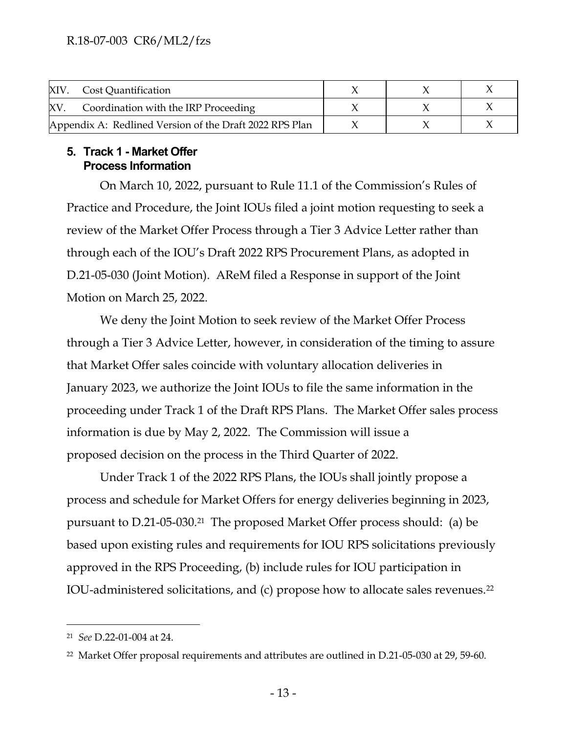|                                                         | XIV. Cost Quantification             |  |  |
|---------------------------------------------------------|--------------------------------------|--|--|
| XV                                                      | Coordination with the IRP Proceeding |  |  |
| Appendix A: Redlined Version of the Draft 2022 RPS Plan |                                      |  |  |

#### **5. Track 1 - Market Offer Process Information**

On March 10, 2022, pursuant to Rule 11.1 of the Commission's Rules of Practice and Procedure, the Joint IOUs filed a joint motion requesting to seek a review of the Market Offer Process through a Tier 3 Advice Letter rather than through each of the IOU's Draft 2022 RPS Procurement Plans, as adopted in D.21-05-030 (Joint Motion). AReM filed a Response in support of the Joint Motion on March 25, 2022.

We deny the Joint Motion to seek review of the Market Offer Process through a Tier 3 Advice Letter, however, in consideration of the timing to assure that Market Offer sales coincide with voluntary allocation deliveries in January 2023, we authorize the Joint IOUs to file the same information in the proceeding under Track 1 of the Draft RPS Plans. The Market Offer sales process information is due by May 2, 2022. The Commission will issue a proposed decision on the process in the Third Quarter of 2022.

Under Track 1 of the 2022 RPS Plans, the IOUs shall jointly propose a process and schedule for Market Offers for energy deliveries beginning in 2023, pursuant to D.21-05-030.21 The proposed Market Offer process should: (a) be based upon existing rules and requirements for IOU RPS solicitations previously approved in the RPS Proceeding, (b) include rules for IOU participation in IOU-administered solicitations, and (c) propose how to allocate sales revenues.<sup>22</sup>

<sup>21</sup> *See* D.22-01-004 at 24.

<sup>22</sup> Market Offer proposal requirements and attributes are outlined in D.21-05-030 at 29, 59-60.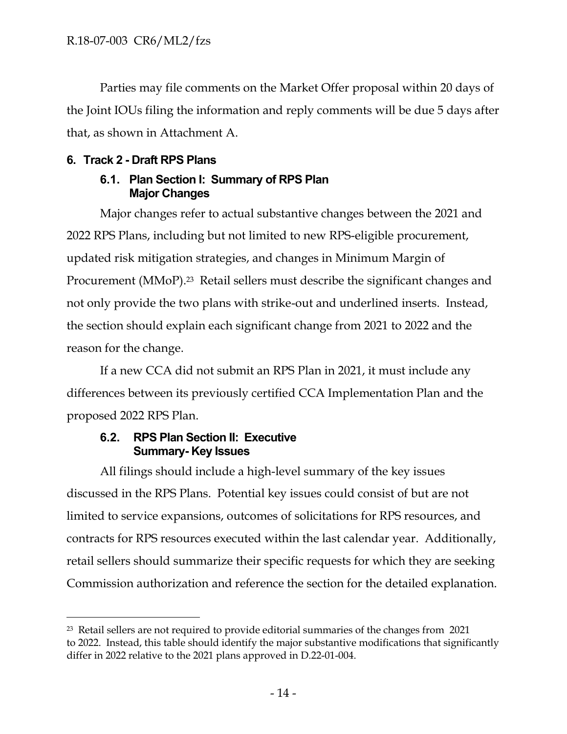Parties may file comments on the Market Offer proposal within 20 days of the Joint IOUs filing the information and reply comments will be due 5 days after that, as shown in Attachment A.

## **6. Track 2 - Draft RPS Plans**

## **6.1. Plan Section I: Summary of RPS Plan Major Changes**

Major changes refer to actual substantive changes between the 2021 and 2022 RPS Plans, including but not limited to new RPS-eligible procurement, updated risk mitigation strategies, and changes in Minimum Margin of Procurement (MMoP). <sup>23</sup> Retail sellers must describe the significant changes and not only provide the two plans with strike-out and underlined inserts. Instead, the section should explain each significant change from 2021 to 2022 and the reason for the change.

If a new CCA did not submit an RPS Plan in 2021, it must include any differences between its previously certified CCA Implementation Plan and the proposed 2022 RPS Plan.

## **6.2. RPS Plan Section II: Executive Summary- Key Issues**

All filings should include a high-level summary of the key issues discussed in the RPS Plans. Potential key issues could consist of but are not limited to service expansions, outcomes of solicitations for RPS resources, and contracts for RPS resources executed within the last calendar year. Additionally, retail sellers should summarize their specific requests for which they are seeking Commission authorization and reference the section for the detailed explanation.

<sup>23</sup> Retail sellers are not required to provide editorial summaries of the changes from 2021 to 2022. Instead, this table should identify the major substantive modifications that significantly differ in 2022 relative to the 2021 plans approved in D.22-01-004.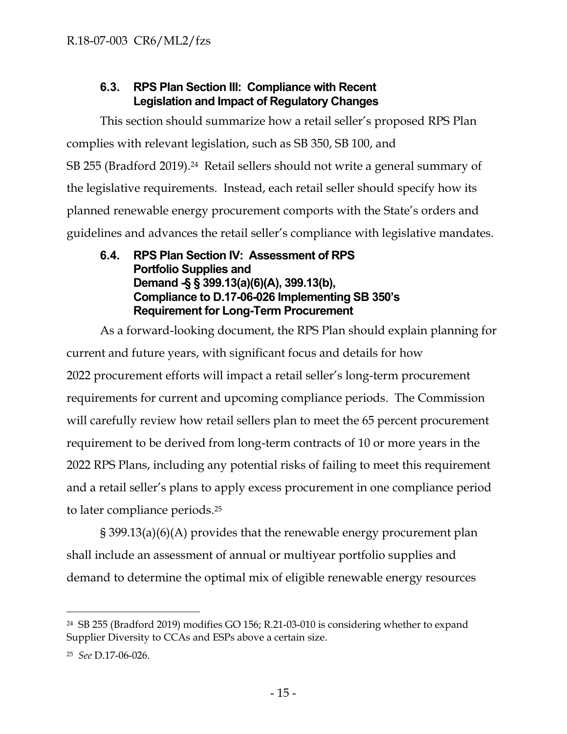## **6.3. RPS Plan Section III: Compliance with Recent Legislation and Impact of Regulatory Changes**

This section should summarize how a retail seller's proposed RPS Plan complies with relevant legislation, such as SB 350, SB 100, and SB 255 (Bradford 2019). <sup>24</sup> Retail sellers should not write a general summary of the legislative requirements. Instead, each retail seller should specify how its planned renewable energy procurement comports with the State's orders and guidelines and advances the retail seller's compliance with legislative mandates.

## **6.4. RPS Plan Section IV: Assessment of RPS Portfolio Supplies and Demand -§ § 399.13(a)(6)(A), 399.13(b), Compliance to D.17-06-026 Implementing SB 350's Requirement for Long-Term Procurement**

As a forward-looking document, the RPS Plan should explain planning for current and future years, with significant focus and details for how 2022 procurement efforts will impact a retail seller's long-term procurement requirements for current and upcoming compliance periods. The Commission will carefully review how retail sellers plan to meet the 65 percent procurement requirement to be derived from long-term contracts of 10 or more years in the 2022 RPS Plans, including any potential risks of failing to meet this requirement and a retail seller's plans to apply excess procurement in one compliance period to later compliance periods.<sup>25</sup>

§ 399.13(a)(6)(A) provides that the renewable energy procurement plan shall include an assessment of annual or multiyear portfolio supplies and demand to determine the optimal mix of eligible renewable energy resources

<sup>24</sup> SB 255 (Bradford 2019) modifies GO 156; R.21-03-010 is considering whether to expand Supplier Diversity to CCAs and ESPs above a certain size.

<sup>25</sup> *See* D.17-06-026.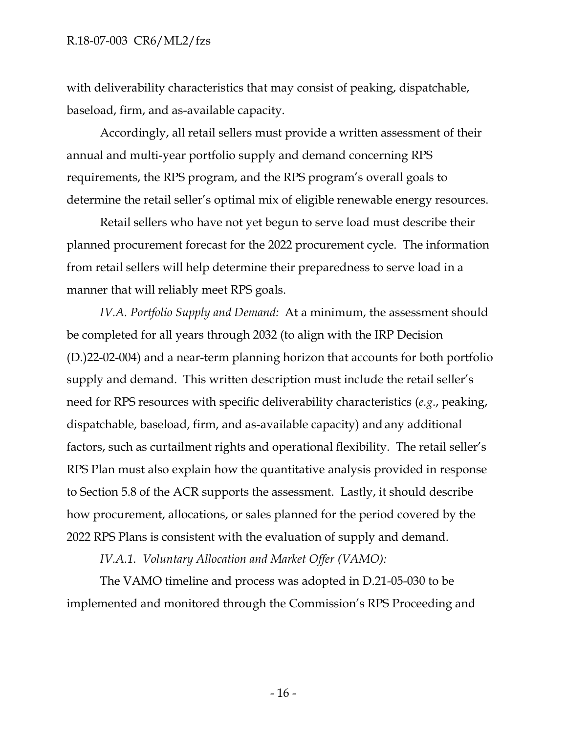#### R.18-07-003 CR6/ML2/fzs

with deliverability characteristics that may consist of peaking, dispatchable, baseload, firm, and as-available capacity.

Accordingly, all retail sellers must provide a written assessment of their annual and multi-year portfolio supply and demand concerning RPS requirements, the RPS program, and the RPS program's overall goals to determine the retail seller's optimal mix of eligible renewable energy resources.

Retail sellers who have not yet begun to serve load must describe their planned procurement forecast for the 2022 procurement cycle. The information from retail sellers will help determine their preparedness to serve load in a manner that will reliably meet RPS goals.

*IV.A. Portfolio Supply and Demand:* At a minimum, the assessment should be completed for all years through 2032 (to align with the IRP Decision (D.)22-02-004) and a near-term planning horizon that accounts for both portfolio supply and demand. This written description must include the retail seller's need for RPS resources with specific deliverability characteristics (*e.g*., peaking, dispatchable, baseload, firm, and as-available capacity) and any additional factors, such as curtailment rights and operational flexibility. The retail seller's RPS Plan must also explain how the quantitative analysis provided in response to Section 5.8 of the ACR supports the assessment. Lastly, it should describe how procurement, allocations, or sales planned for the period covered by the 2022 RPS Plans is consistent with the evaluation of supply and demand.

*IV.A.1. Voluntary Allocation and Market Offer (VAMO):*

The VAMO timeline and process was adopted in D.21-05-030 to be implemented and monitored through the Commission's RPS Proceeding and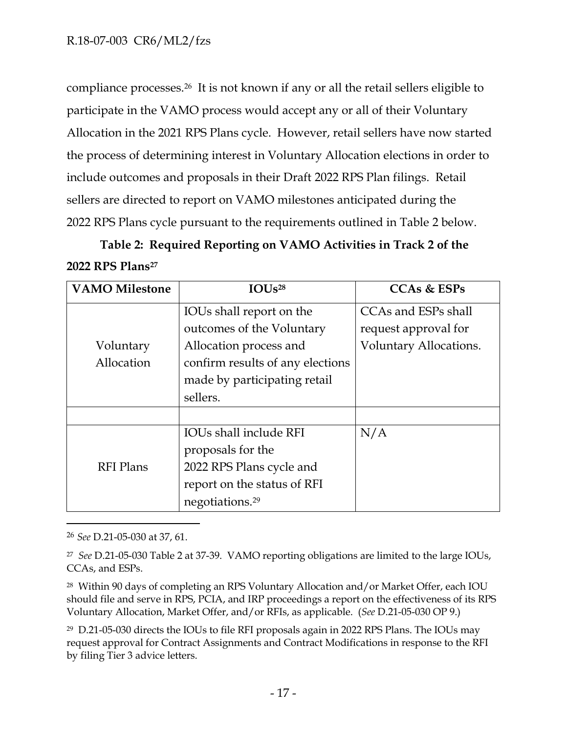compliance processes.<sup>26</sup> It is not known if any or all the retail sellers eligible to participate in the VAMO process would accept any or all of their Voluntary Allocation in the 2021 RPS Plans cycle. However, retail sellers have now started the process of determining interest in Voluntary Allocation elections in order to include outcomes and proposals in their Draft 2022 RPS Plan filings. Retail sellers are directed to report on VAMO milestones anticipated during the 2022 RPS Plans cycle pursuant to the requirements outlined in Table 2 below.

# **Table 2: Required Reporting on VAMO Activities in Track 2 of the 2022 RPS Plans<sup>27</sup>**

| <b>VAMO Milestone</b> | IOUs <sup>28</sup>               | <b>CCAs &amp; ESPs</b> |
|-----------------------|----------------------------------|------------------------|
|                       | IOUs shall report on the         | CCAs and ESPs shall    |
|                       | outcomes of the Voluntary        | request approval for   |
| Voluntary             | Allocation process and           | Voluntary Allocations. |
| Allocation            | confirm results of any elections |                        |
|                       | made by participating retail     |                        |
|                       | sellers.                         |                        |
|                       |                                  |                        |
|                       | <b>IOUs shall include RFI</b>    | N/A                    |
|                       | proposals for the                |                        |
| <b>RFI</b> Plans      | 2022 RPS Plans cycle and         |                        |
|                       | report on the status of RFI      |                        |
|                       | negotiations. <sup>29</sup>      |                        |

<sup>26</sup> *See* D.21-05-030 at 37, 61.

<sup>28</sup> Within 90 days of completing an RPS Voluntary Allocation and/or Market Offer, each IOU should file and serve in RPS, PCIA, and IRP proceedings a report on the effectiveness of its RPS Voluntary Allocation, Market Offer, and/or RFIs, as applicable. (*See* D.21-05-030 OP 9.)

<sup>29</sup> D.21-05-030 directs the IOUs to file RFI proposals again in 2022 RPS Plans. The IOUs may request approval for Contract Assignments and Contract Modifications in response to the RFI by filing Tier 3 advice letters.

<sup>27</sup> *See* D.21-05-030 Table 2 at 37-39. VAMO reporting obligations are limited to the large IOUs, CCAs, and ESPs.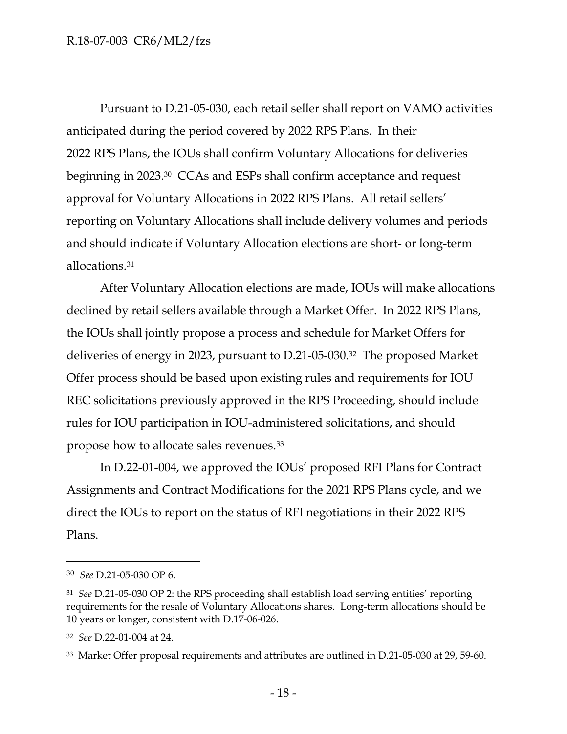Pursuant to D.21-05-030, each retail seller shall report on VAMO activities anticipated during the period covered by 2022 RPS Plans. In their 2022 RPS Plans, the IOUs shall confirm Voluntary Allocations for deliveries beginning in 2023.30 CCAs and ESPs shall confirm acceptance and request approval for Voluntary Allocations in 2022 RPS Plans. All retail sellers' reporting on Voluntary Allocations shall include delivery volumes and periods and should indicate if Voluntary Allocation elections are short- or long-term allocations.<sup>31</sup>

After Voluntary Allocation elections are made, IOUs will make allocations declined by retail sellers available through a Market Offer. In 2022 RPS Plans, the IOUs shall jointly propose a process and schedule for Market Offers for deliveries of energy in 2023, pursuant to D.21-05-030.32 The proposed Market Offer process should be based upon existing rules and requirements for IOU REC solicitations previously approved in the RPS Proceeding, should include rules for IOU participation in IOU-administered solicitations, and should propose how to allocate sales revenues.<sup>33</sup>

In D.22-01-004, we approved the IOUs' proposed RFI Plans for Contract Assignments and Contract Modifications for the 2021 RPS Plans cycle, and we direct the IOUs to report on the status of RFI negotiations in their 2022 RPS Plans.

<sup>30</sup> *See* D.21-05-030 OP 6.

<sup>31</sup> *See* D.21-05-030 OP 2: the RPS proceeding shall establish load serving entities' reporting requirements for the resale of Voluntary Allocations shares. Long-term allocations should be 10 years or longer, consistent with D.17-06-026.

<sup>32</sup> *See* D.22-01-004 at 24.

<sup>33</sup> Market Offer proposal requirements and attributes are outlined in D.21-05-030 at 29, 59-60.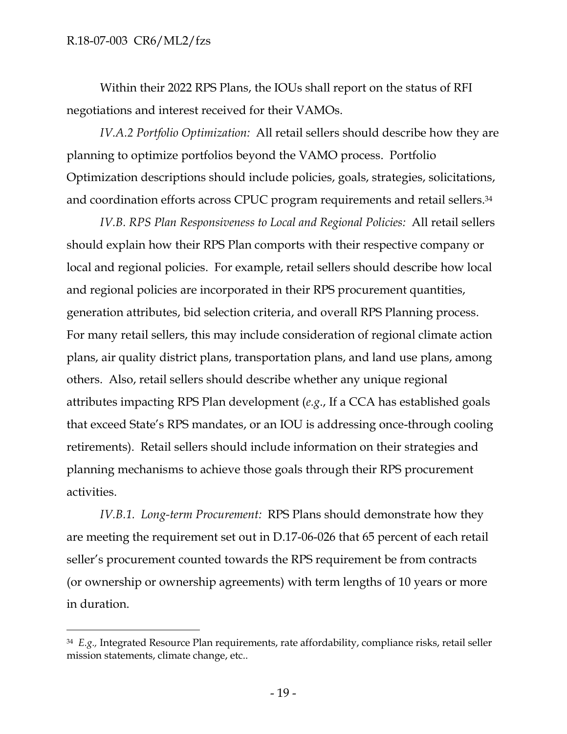Within their 2022 RPS Plans, the IOUs shall report on the status of RFI negotiations and interest received for their VAMOs.

*IV.A.2 Portfolio Optimization:* All retail sellers should describe how they are planning to optimize portfolios beyond the VAMO process. Portfolio Optimization descriptions should include policies, goals, strategies, solicitations, and coordination efforts across CPUC program requirements and retail sellers. 34

*IV.B. RPS Plan Responsiveness to Local and Regional Policies:* All retail sellers should explain how their RPS Plan comports with their respective company or local and regional policies. For example, retail sellers should describe how local and regional policies are incorporated in their RPS procurement quantities, generation attributes, bid selection criteria, and overall RPS Planning process. For many retail sellers, this may include consideration of regional climate action plans, air quality district plans, transportation plans, and land use plans, among others. Also, retail sellers should describe whether any unique regional attributes impacting RPS Plan development (*e.g*., If a CCA has established goals that exceed State's RPS mandates, or an IOU is addressing once-through cooling retirements). Retail sellers should include information on their strategies and planning mechanisms to achieve those goals through their RPS procurement activities.

*IV.B.1. Long-term Procurement:* RPS Plans should demonstrate how they are meeting the requirement set out in D.17-06-026 that 65 percent of each retail seller's procurement counted towards the RPS requirement be from contracts (or ownership or ownership agreements) with term lengths of 10 years or more in duration.

<sup>34</sup> *E.g.,* Integrated Resource Plan requirements, rate affordability, compliance risks, retail seller mission statements, climate change, etc..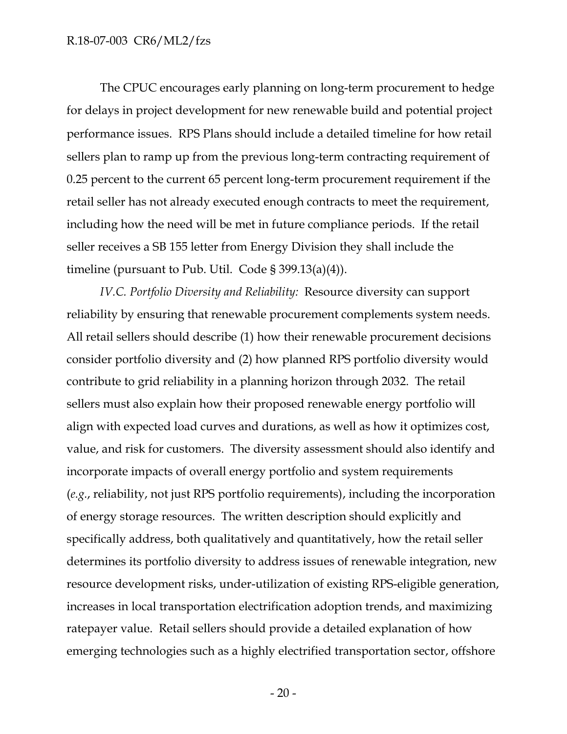#### R.18-07-003 CR6/ML2/fzs

The CPUC encourages early planning on long-term procurement to hedge for delays in project development for new renewable build and potential project performance issues. RPS Plans should include a detailed timeline for how retail sellers plan to ramp up from the previous long-term contracting requirement of 0.25 percent to the current 65 percent long-term procurement requirement if the retail seller has not already executed enough contracts to meet the requirement, including how the need will be met in future compliance periods. If the retail seller receives a SB 155 letter from Energy Division they shall include the timeline (pursuant to Pub. Util. Code § 399.13(a)(4)).

*IV.C. Portfolio Diversity and Reliability:* Resource diversity can support reliability by ensuring that renewable procurement complements system needs. All retail sellers should describe (1) how their renewable procurement decisions consider portfolio diversity and (2) how planned RPS portfolio diversity would contribute to grid reliability in a planning horizon through 2032. The retail sellers must also explain how their proposed renewable energy portfolio will align with expected load curves and durations, as well as how it optimizes cost, value, and risk for customers. The diversity assessment should also identify and incorporate impacts of overall energy portfolio and system requirements (*e.g.*, reliability, not just RPS portfolio requirements), including the incorporation of energy storage resources. The written description should explicitly and specifically address, both qualitatively and quantitatively, how the retail seller determines its portfolio diversity to address issues of renewable integration, new resource development risks, under-utilization of existing RPS-eligible generation, increases in local transportation electrification adoption trends, and maximizing ratepayer value. Retail sellers should provide a detailed explanation of how emerging technologies such as a highly electrified transportation sector, offshore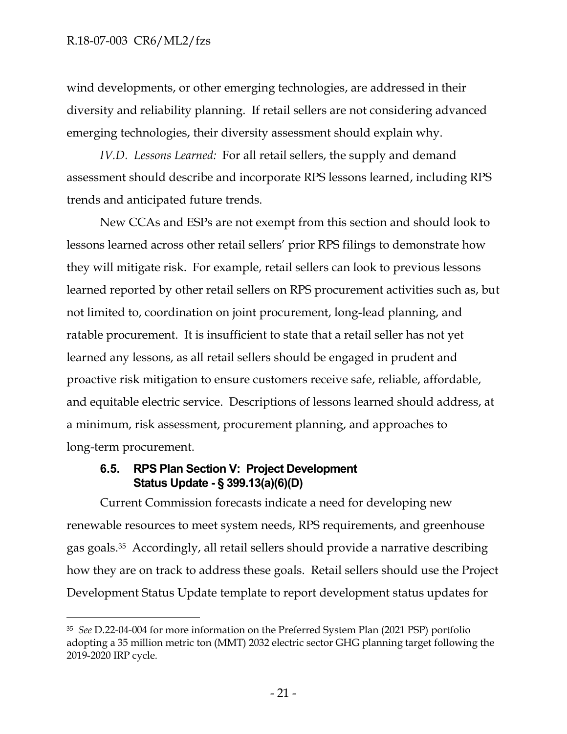wind developments, or other emerging technologies, are addressed in their diversity and reliability planning. If retail sellers are not considering advanced emerging technologies, their diversity assessment should explain why.

*IV.D. Lessons Learned:* For all retail sellers, the supply and demand assessment should describe and incorporate RPS lessons learned, including RPS trends and anticipated future trends.

New CCAs and ESPs are not exempt from this section and should look to lessons learned across other retail sellers' prior RPS filings to demonstrate how they will mitigate risk. For example, retail sellers can look to previous lessons learned reported by other retail sellers on RPS procurement activities such as, but not limited to, coordination on joint procurement, long-lead planning, and ratable procurement. It is insufficient to state that a retail seller has not yet learned any lessons, as all retail sellers should be engaged in prudent and proactive risk mitigation to ensure customers receive safe, reliable, affordable, and equitable electric service. Descriptions of lessons learned should address, at a minimum, risk assessment, procurement planning, and approaches to long-term procurement.

## **6.5. RPS Plan Section V: Project Development Status Update - § 399.13(a)(6)(D)**

Current Commission forecasts indicate a need for developing new renewable resources to meet system needs, RPS requirements, and greenhouse gas goals. <sup>35</sup> Accordingly, all retail sellers should provide a narrative describing how they are on track to address these goals. Retail sellers should use the Project Development Status Update template to report development status updates for

<sup>35</sup> *See* D.22-04-004 for more information on the Preferred System Plan (2021 PSP) portfolio adopting a 35 million metric ton (MMT) 2032 electric sector GHG planning target following the 2019-2020 IRP cycle.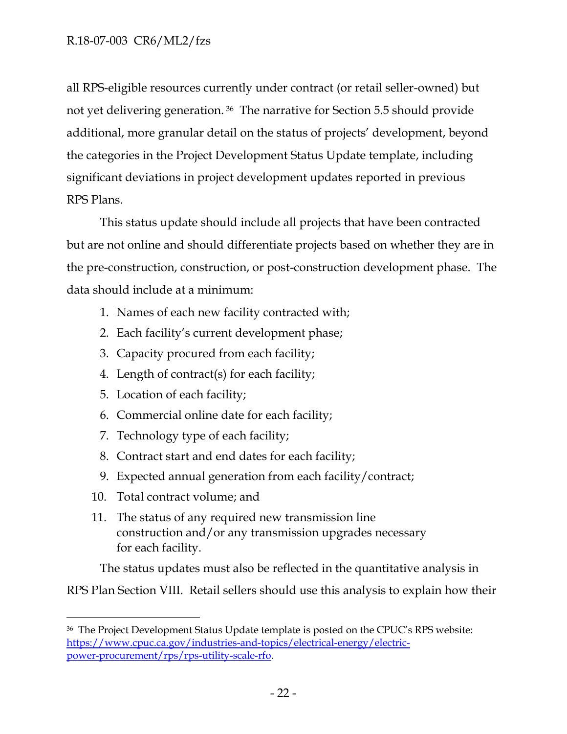### R.18-07-003 CR6/ML2/fzs

all RPS-eligible resources currently under contract (or retail seller-owned) but not yet delivering generation. <sup>36</sup> The narrative for Section 5.5 should provide additional, more granular detail on the status of projects' development, beyond the categories in the Project Development Status Update template, including significant deviations in project development updates reported in previous RPS Plans.

This status update should include all projects that have been contracted but are not online and should differentiate projects based on whether they are in the pre-construction, construction, or post-construction development phase. The data should include at a minimum:

- 1. Names of each new facility contracted with;
- 2. Each facility's current development phase;
- 3. Capacity procured from each facility;
- 4. Length of contract(s) for each facility;
- 5. Location of each facility;
- 6. Commercial online date for each facility;
- 7. Technology type of each facility;
- 8. Contract start and end dates for each facility;
- 9. Expected annual generation from each facility/contract;
- 10. Total contract volume; and
- 11. The status of any required new transmission line construction and/or any transmission upgrades necessary for each facility.

The status updates must also be reflected in the quantitative analysis in

RPS Plan Section VIII. Retail sellers should use this analysis to explain how their

<sup>&</sup>lt;sup>36</sup> The Project Development Status Update template is posted on the CPUC's RPS website: [https://www.cpuc.ca.gov/industries-and-topics/electrical-energy/electric](https://www.cpuc.ca.gov/industriesandtopics/electricalenergy/electric-powerprocurement/rps/rpsutilityscalerfo)[power-procurement/rps/rps-utility-scale-rfo.](https://www.cpuc.ca.gov/industriesandtopics/electricalenergy/electric-powerprocurement/rps/rpsutilityscalerfo)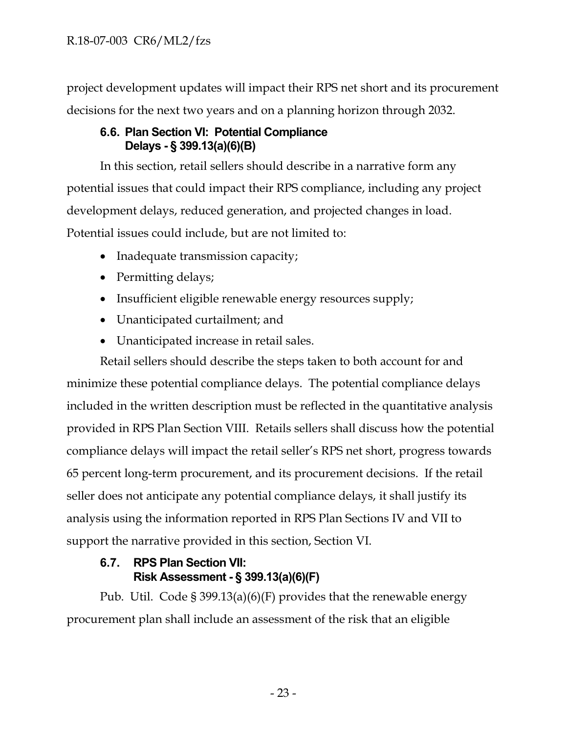project development updates will impact their RPS net short and its procurement decisions for the next two years and on a planning horizon through 2032.

## **6.6. Plan Section VI: Potential Compliance Delays - § 399.13(a)(6)(B)**

In this section, retail sellers should describe in a narrative form any potential issues that could impact their RPS compliance, including any project development delays, reduced generation, and projected changes in load. Potential issues could include, but are not limited to:

- Inadequate transmission capacity;
- Permitting delays;
- Insufficient eligible renewable energy resources supply;
- Unanticipated curtailment; and
- Unanticipated increase in retail sales.

Retail sellers should describe the steps taken to both account for and

minimize these potential compliance delays. The potential compliance delays included in the written description must be reflected in the quantitative analysis provided in RPS Plan Section VIII. Retails sellers shall discuss how the potential compliance delays will impact the retail seller's RPS net short, progress towards 65 percent long-term procurement, and its procurement decisions. If the retail seller does not anticipate any potential compliance delays, it shall justify its analysis using the information reported in RPS Plan Sections IV and VII to support the narrative provided in this section, Section VI.

## **6.7. RPS Plan Section VII: Risk Assessment - § 399.13(a)(6)(F)**

Pub. Util. Code § 399.13(a)(6)(F) provides that the renewable energy procurement plan shall include an assessment of the risk that an eligible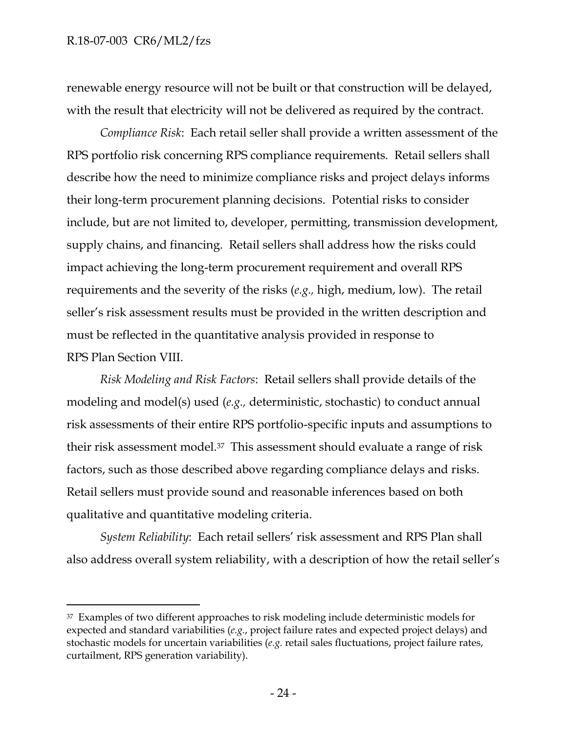#### R.18-07-003 CR6/ML2/fzs

renewable energy resource will not be built or that construction will be delayed, with the result that electricity will not be delivered as required by the contract.

*Compliance Risk*: Each retail seller shall provide a written assessment of the RPS portfolio risk concerning RPS compliance requirements. Retail sellers shall describe how the need to minimize compliance risks and project delays informs their long-term procurement planning decisions. Potential risks to consider include, but are not limited to, developer, permitting, transmission development, supply chains, and financing. Retail sellers shall address how the risks could impact achieving the long-term procurement requirement and overall RPS requirements and the severity of the risks (*e.g.,* high, medium, low). The retail seller's risk assessment results must be provided in the written description and must be reflected in the quantitative analysis provided in response to RPS Plan Section VIII.

*Risk Modeling and Risk Factors*: Retail sellers shall provide details of the modeling and model(s) used (*e.g.,* deterministic, stochastic) to conduct annual risk assessments of their entire RPS portfolio-specific inputs and assumptions to their risk assessment model.37 This assessment should evaluate a range of risk factors, such as those described above regarding compliance delays and risks. Retail sellers must provide sound and reasonable inferences based on both qualitative and quantitative modeling criteria.

*System Reliability*: Each retail sellers' risk assessment and RPS Plan shall also address overall system reliability, with a description of how the retail seller's

<sup>&</sup>lt;sup>37</sup> Examples of two different approaches to risk modeling include deterministic models for expected and standard variabilities (*e.g*., project failure rates and expected project delays) and stochastic models for uncertain variabilities (*e.g.* retail sales fluctuations, project failure rates, curtailment, RPS generation variability).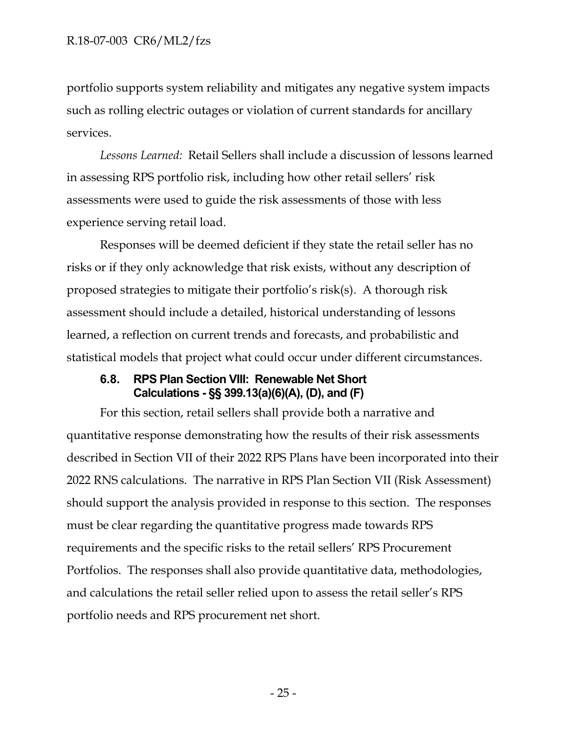portfolio supports system reliability and mitigates any negative system impacts such as rolling electric outages or violation of current standards for ancillary services.

*Lessons Learned:* Retail Sellers shall include a discussion of lessons learned in assessing RPS portfolio risk, including how other retail sellers' risk assessments were used to guide the risk assessments of those with less experience serving retail load.

Responses will be deemed deficient if they state the retail seller has no risks or if they only acknowledge that risk exists, without any description of proposed strategies to mitigate their portfolio's risk(s). A thorough risk assessment should include a detailed, historical understanding of lessons learned, a reflection on current trends and forecasts, and probabilistic and statistical models that project what could occur under different circumstances.

#### **6.8. RPS Plan Section VIII: Renewable Net Short Calculations - §§ 399.13(a)(6)(A), (D), and (F)**

For this section, retail sellers shall provide both a narrative and quantitative response demonstrating how the results of their risk assessments described in Section VII of their 2022 RPS Plans have been incorporated into their 2022 RNS calculations. The narrative in RPS Plan Section VII (Risk Assessment) should support the analysis provided in response to this section. The responses must be clear regarding the quantitative progress made towards RPS requirements and the specific risks to the retail sellers' RPS Procurement Portfolios. The responses shall also provide quantitative data, methodologies, and calculations the retail seller relied upon to assess the retail seller's RPS portfolio needs and RPS procurement net short.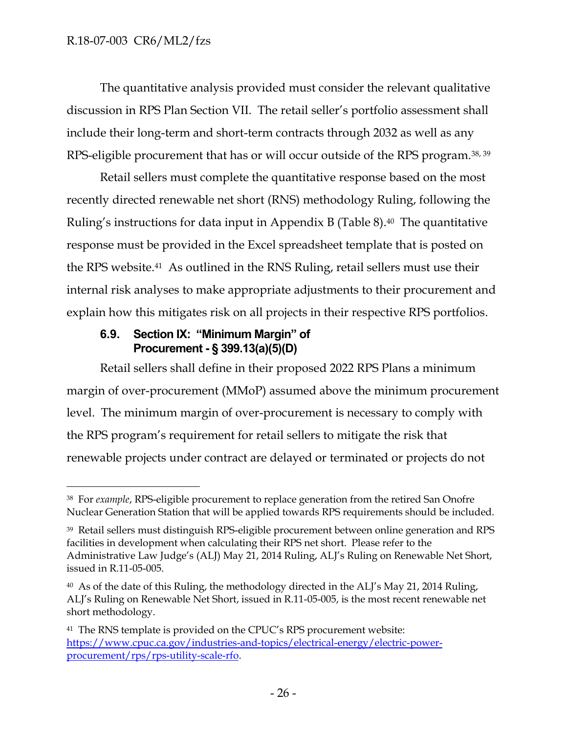The quantitative analysis provided must consider the relevant qualitative discussion in RPS Plan Section VII. The retail seller's portfolio assessment shall include their long-term and short-term contracts through 2032 as well as any RPS-eligible procurement that has or will occur outside of the RPS program.38, <sup>39</sup>

Retail sellers must complete the quantitative response based on the most recently directed renewable net short (RNS) methodology Ruling, following the Ruling's instructions for data input in Appendix B (Table 8). <sup>40</sup> The quantitative response must be provided in the Excel spreadsheet template that is posted on the RPS website.<sup>41</sup> As outlined in the RNS Ruling, retail sellers must use their internal risk analyses to make appropriate adjustments to their procurement and explain how this mitigates risk on all projects in their respective RPS portfolios.

### **6.9. Section IX: "Minimum Margin" of Procurement - § 399.13(a)(5)(D)**

Retail sellers shall define in their proposed 2022 RPS Plans a minimum margin of over-procurement (MMoP) assumed above the minimum procurement level. The minimum margin of over-procurement is necessary to comply with the RPS program's requirement for retail sellers to mitigate the risk that renewable projects under contract are delayed or terminated or projects do not

<sup>38</sup> For *example*, RPS-eligible procurement to replace generation from the retired San Onofre Nuclear Generation Station that will be applied towards RPS requirements should be included.

<sup>39</sup> Retail sellers must distinguish RPS-eligible procurement between online generation and RPS facilities in development when calculating their RPS net short. Please refer to the Administrative Law Judge's (ALJ) May 21, 2014 Ruling, ALJ's Ruling on Renewable Net Short, issued in R.11-05-005.

<sup>&</sup>lt;sup>40</sup> As of the date of this Ruling, the methodology directed in the ALJ's May 21, 2014 Ruling, ALJ's Ruling on Renewable Net Short, issued in R.11-05-005, is the most recent renewable net short methodology.

<sup>&</sup>lt;sup>41</sup> The RNS template is provided on the CPUC's RPS procurement website: [https://www.cpuc.ca.gov/industries-and-topics/electrical-energy/electric-power](https://www.cpuc.ca.gov/industries-and-topics/electrical-energy/electric-power-procurement/rps/rps-utility-scale-rfo)[procurement/rps/rps-utility-scale-rfo.](https://www.cpuc.ca.gov/industries-and-topics/electrical-energy/electric-power-procurement/rps/rps-utility-scale-rfo)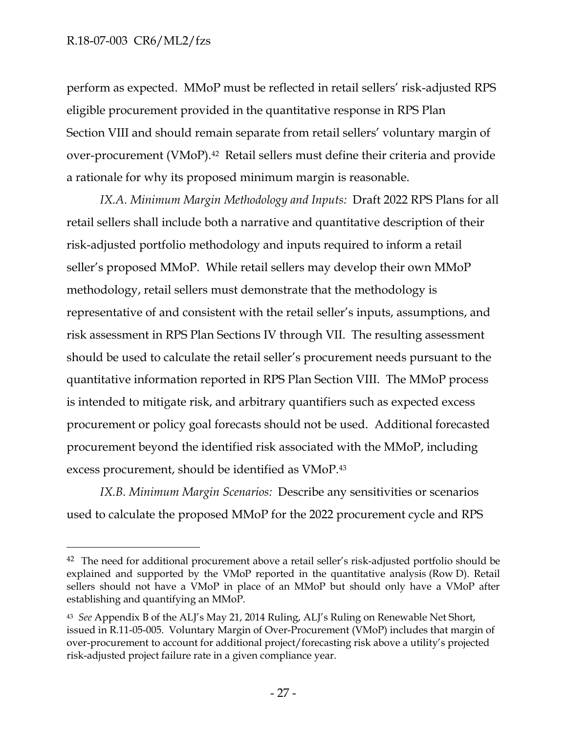perform as expected. MMoP must be reflected in retail sellers' risk-adjusted RPS eligible procurement provided in the quantitative response in RPS Plan Section VIII and should remain separate from retail sellers' voluntary margin of over-procurement (VMoP). <sup>42</sup> Retail sellers must define their criteria and provide a rationale for why its proposed minimum margin is reasonable.

*IX.A. Minimum Margin Methodology and Inputs:* Draft 2022 RPS Plans for all retail sellers shall include both a narrative and quantitative description of their risk-adjusted portfolio methodology and inputs required to inform a retail seller's proposed MMoP. While retail sellers may develop their own MMoP methodology, retail sellers must demonstrate that the methodology is representative of and consistent with the retail seller's inputs, assumptions, and risk assessment in RPS Plan Sections IV through VII. The resulting assessment should be used to calculate the retail seller's procurement needs pursuant to the quantitative information reported in RPS Plan Section VIII. The MMoP process is intended to mitigate risk, and arbitrary quantifiers such as expected excess procurement or policy goal forecasts should not be used. Additional forecasted procurement beyond the identified risk associated with the MMoP, including excess procurement, should be identified as VMoP.<sup>43</sup>

*IX.B. Minimum Margin Scenarios:* Describe any sensitivities or scenarios used to calculate the proposed MMoP for the 2022 procurement cycle and RPS

<sup>&</sup>lt;sup>42</sup> The need for additional procurement above a retail seller's risk-adjusted portfolio should be explained and supported by the VMoP reported in the quantitative analysis (Row D). Retail sellers should not have a VMoP in place of an MMoP but should only have a VMoP after establishing and quantifying an MMoP.

<sup>43</sup> *See* Appendix B of the ALJ's May 21, 2014 Ruling, ALJ's Ruling on Renewable Net Short, issued in R.11-05-005. Voluntary Margin of Over-Procurement (VMoP) includes that margin of over-procurement to account for additional project/forecasting risk above a utility's projected risk-adjusted project failure rate in a given compliance year.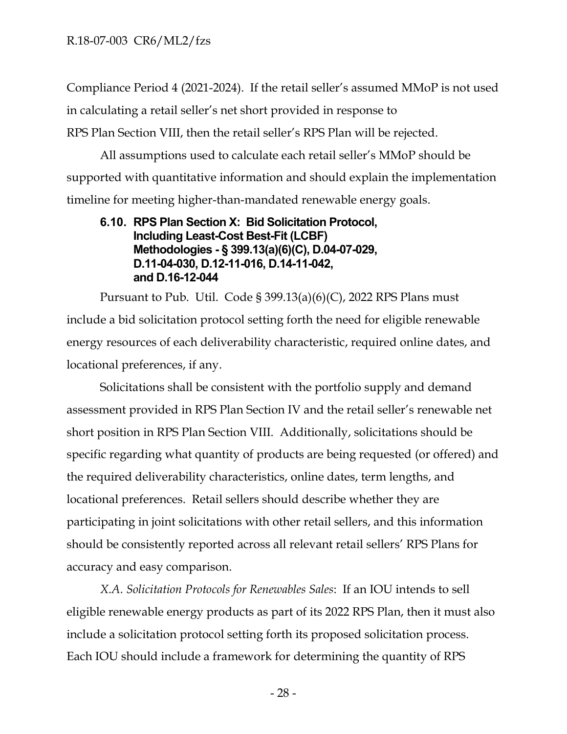Compliance Period 4 (2021-2024). If the retail seller's assumed MMoP is not used in calculating a retail seller's net short provided in response to RPS Plan Section VIII, then the retail seller's RPS Plan will be rejected.

All assumptions used to calculate each retail seller's MMoP should be supported with quantitative information and should explain the implementation timeline for meeting higher-than-mandated renewable energy goals.

### **6.10. RPS Plan Section X: Bid Solicitation Protocol, Including Least-Cost Best-Fit (LCBF) Methodologies - § 399.13(a)(6)(C), D.04-07-029, D.11-04-030, D.12-11-016, D.14-11-042, and D.16-12-044**

Pursuant to Pub. Util. Code § 399.13(a)(6)(C), 2022 RPS Plans must include a bid solicitation protocol setting forth the need for eligible renewable energy resources of each deliverability characteristic, required online dates, and locational preferences, if any.

Solicitations shall be consistent with the portfolio supply and demand assessment provided in RPS Plan Section IV and the retail seller's renewable net short position in RPS Plan Section VIII. Additionally, solicitations should be specific regarding what quantity of products are being requested (or offered) and the required deliverability characteristics, online dates, term lengths, and locational preferences. Retail sellers should describe whether they are participating in joint solicitations with other retail sellers, and this information should be consistently reported across all relevant retail sellers' RPS Plans for accuracy and easy comparison.

*X.A. Solicitation Protocols for Renewables Sales*: If an IOU intends to sell eligible renewable energy products as part of its 2022 RPS Plan, then it must also include a solicitation protocol setting forth its proposed solicitation process. Each IOU should include a framework for determining the quantity of RPS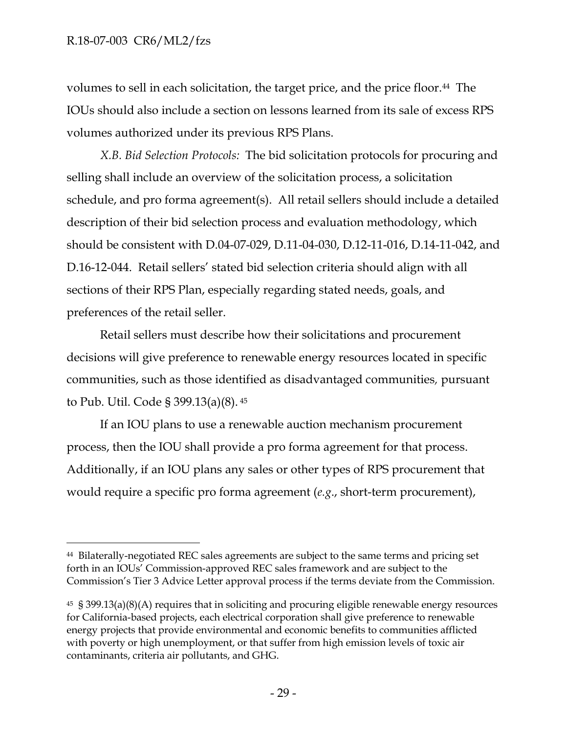volumes to sell in each solicitation, the target price, and the price floor.<sup>44</sup> The IOUs should also include a section on lessons learned from its sale of excess RPS volumes authorized under its previous RPS Plans.

*X.B. Bid Selection Protocols:* The bid solicitation protocols for procuring and selling shall include an overview of the solicitation process, a solicitation schedule, and pro forma agreement(s). All retail sellers should include a detailed description of their bid selection process and evaluation methodology, which should be consistent with D.04-07-029, D.11-04-030, D.12-11-016, D.14-11-042, and D.16-12-044. Retail sellers' stated bid selection criteria should align with all sections of their RPS Plan, especially regarding stated needs, goals, and preferences of the retail seller.

Retail sellers must describe how their solicitations and procurement decisions will give preference to renewable energy resources located in specific communities, such as those identified as disadvantaged communities*,* pursuant to Pub. Util. Code § 399.13(a)(8). <sup>45</sup>

If an IOU plans to use a renewable auction mechanism procurement process, then the IOU shall provide a pro forma agreement for that process. Additionally, if an IOU plans any sales or other types of RPS procurement that would require a specific pro forma agreement (*e.g*., short-term procurement),

<sup>44</sup> Bilaterally-negotiated REC sales agreements are subject to the same terms and pricing set forth in an IOUs' Commission-approved REC sales framework and are subject to the Commission's Tier 3 Advice Letter approval process if the terms deviate from the Commission.

<sup>45</sup> § 399.13(a)(8)(A) requires that in soliciting and procuring eligible renewable energy resources for California-based projects, each electrical corporation shall give preference to renewable energy projects that provide environmental and economic benefits to communities afflicted with poverty or high unemployment, or that suffer from high emission levels of toxic air contaminants, criteria air pollutants, and GHG.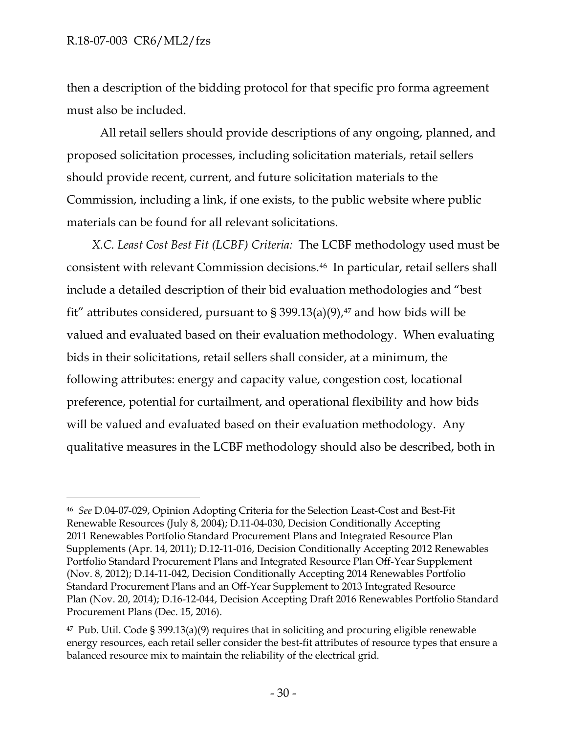#### R.18-07-003 CR6/ML2/fzs

then a description of the bidding protocol for that specific pro forma agreement must also be included.

All retail sellers should provide descriptions of any ongoing, planned, and proposed solicitation processes, including solicitation materials, retail sellers should provide recent, current, and future solicitation materials to the Commission, including a link, if one exists, to the public website where public materials can be found for all relevant solicitations.

*X.C. Least Cost Best Fit (LCBF) Criteria:* The LCBF methodology used must be consistent with relevant Commission decisions.46 In particular, retail sellers shall include a detailed description of their bid evaluation methodologies and "best fit" attributes considered, pursuant to § 399.13(a)(9), $47$  and how bids will be valued and evaluated based on their evaluation methodology. When evaluating bids in their solicitations, retail sellers shall consider, at a minimum, the following attributes: energy and capacity value, congestion cost, locational preference, potential for curtailment, and operational flexibility and how bids will be valued and evaluated based on their evaluation methodology. Any qualitative measures in the LCBF methodology should also be described, both in

<sup>46</sup> *See* D.04-07-029, Opinion Adopting Criteria for the Selection Least-Cost and Best-Fit Renewable Resources (July 8, 2004); D.11-04-030, Decision Conditionally Accepting 2011 Renewables Portfolio Standard Procurement Plans and Integrated Resource Plan Supplements (Apr. 14, 2011); D.12-11-016, Decision Conditionally Accepting 2012 Renewables Portfolio Standard Procurement Plans and Integrated Resource Plan Off-Year Supplement (Nov. 8, 2012); D.14-11-042, Decision Conditionally Accepting 2014 Renewables Portfolio Standard Procurement Plans and an Off-Year Supplement to 2013 Integrated Resource Plan (Nov. 20, 2014); D.16-12-044, Decision Accepting Draft 2016 Renewables Portfolio Standard Procurement Plans (Dec. 15, 2016).

 $47$  Pub. Util. Code § 399.13(a)(9) requires that in soliciting and procuring eligible renewable energy resources, each retail seller consider the best-fit attributes of resource types that ensure a balanced resource mix to maintain the reliability of the electrical grid.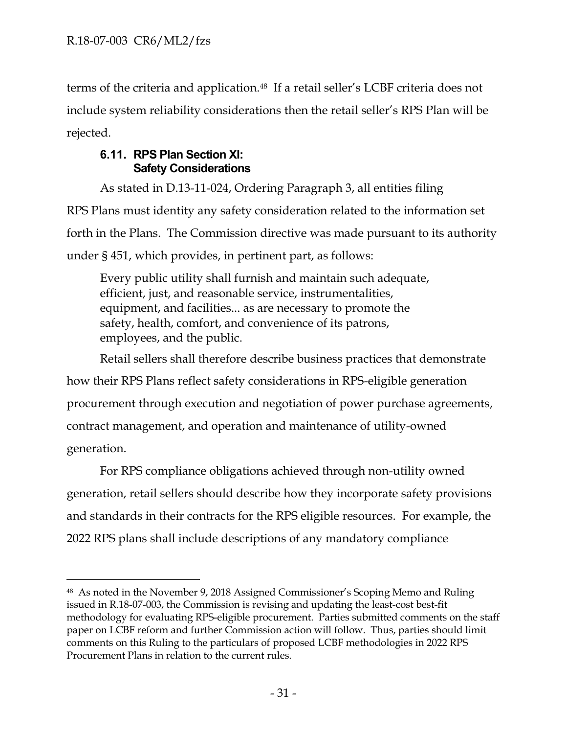terms of the criteria and application.<sup>48</sup> If a retail seller's LCBF criteria does not include system reliability considerations then the retail seller's RPS Plan will be rejected.

## **6.11. RPS Plan Section XI: Safety Considerations**

As stated in D.13-11-024, Ordering Paragraph 3, all entities filing RPS Plans must identity any safety consideration related to the information set forth in the Plans. The Commission directive was made pursuant to its authority under § 451, which provides, in pertinent part, as follows:

Every public utility shall furnish and maintain such adequate, efficient, just, and reasonable service, instrumentalities, equipment, and facilities... as are necessary to promote the safety, health, comfort, and convenience of its patrons, employees, and the public.

Retail sellers shall therefore describe business practices that demonstrate how their RPS Plans reflect safety considerations in RPS-eligible generation procurement through execution and negotiation of power purchase agreements, contract management, and operation and maintenance of utility-owned generation.

For RPS compliance obligations achieved through non-utility owned generation, retail sellers should describe how they incorporate safety provisions and standards in their contracts for the RPS eligible resources. For example, the 2022 RPS plans shall include descriptions of any mandatory compliance

<sup>48</sup> As noted in the November 9, 2018 Assigned Commissioner's Scoping Memo and Ruling issued in R.18-07-003, the Commission is revising and updating the least-cost best-fit methodology for evaluating RPS-eligible procurement. Parties submitted comments on the staff paper on LCBF reform and further Commission action will follow. Thus, parties should limit comments on this Ruling to the particulars of proposed LCBF methodologies in 2022 RPS Procurement Plans in relation to the current rules.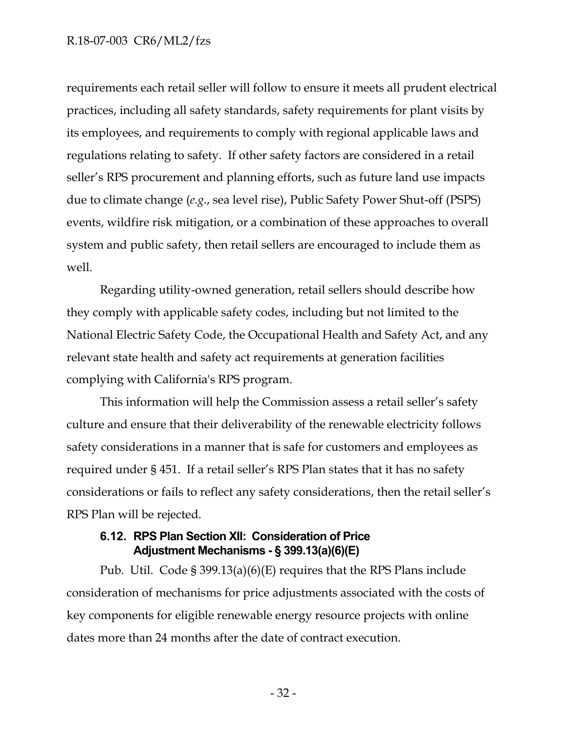#### R.18-07-003 CR6/ML2/fzs

requirements each retail seller will follow to ensure it meets all prudent electrical practices, including all safety standards, safety requirements for plant visits by its employees, and requirements to comply with regional applicable laws and regulations relating to safety. If other safety factors are considered in a retail seller's RPS procurement and planning efforts, such as future land use impacts due to climate change (*e.g*., sea level rise), Public Safety Power Shut-off (PSPS) events, wildfire risk mitigation, or a combination of these approaches to overall system and public safety, then retail sellers are encouraged to include them as well.

Regarding utility-owned generation, retail sellers should describe how they comply with applicable safety codes, including but not limited to the National Electric Safety Code, the Occupational Health and Safety Act, and any relevant state health and safety act requirements at generation facilities complying with California's RPS program.

This information will help the Commission assess a retail seller's safety culture and ensure that their deliverability of the renewable electricity follows safety considerations in a manner that is safe for customers and employees as required under § 451. If a retail seller's RPS Plan states that it has no safety considerations or fails to reflect any safety considerations, then the retail seller's RPS Plan will be rejected.

#### **6.12. RPS Plan Section XII: Consideration of Price Adjustment Mechanisms - § 399.13(a)(6)(E)**

Pub. Util. Code § 399.13(a)(6)(E) requires that the RPS Plans include consideration of mechanisms for price adjustments associated with the costs of key components for eligible renewable energy resource projects with online dates more than 24 months after the date of contract execution.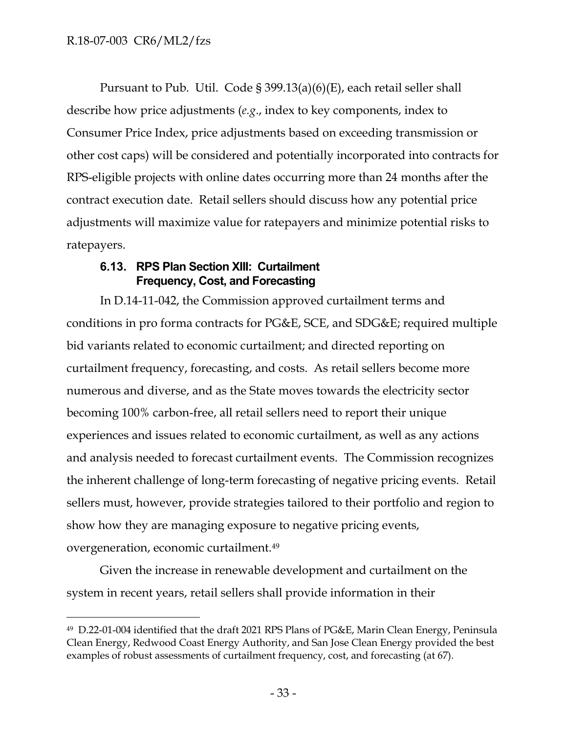Pursuant to Pub. Util. Code § 399.13(a)(6)(E), each retail seller shall describe how price adjustments (*e.g*., index to key components, index to Consumer Price Index, price adjustments based on exceeding transmission or other cost caps) will be considered and potentially incorporated into contracts for RPS-eligible projects with online dates occurring more than 24 months after the contract execution date. Retail sellers should discuss how any potential price adjustments will maximize value for ratepayers and minimize potential risks to ratepayers.

#### **6.13. RPS Plan Section XIII: Curtailment Frequency, Cost, and Forecasting**

In D.14-11-042, the Commission approved curtailment terms and conditions in pro forma contracts for PG&E, SCE, and SDG&E; required multiple bid variants related to economic curtailment; and directed reporting on curtailment frequency, forecasting, and costs. As retail sellers become more numerous and diverse, and as the State moves towards the electricity sector becoming 100% carbon-free, all retail sellers need to report their unique experiences and issues related to economic curtailment, as well as any actions and analysis needed to forecast curtailment events. The Commission recognizes the inherent challenge of long-term forecasting of negative pricing events. Retail sellers must, however, provide strategies tailored to their portfolio and region to show how they are managing exposure to negative pricing events, overgeneration, economic curtailment.<sup>49</sup>

Given the increase in renewable development and curtailment on the system in recent years, retail sellers shall provide information in their

<sup>49</sup> D.22-01-004 identified that the draft 2021 RPS Plans of PG&E, Marin Clean Energy, Peninsula Clean Energy, Redwood Coast Energy Authority, and San Jose Clean Energy provided the best examples of robust assessments of curtailment frequency, cost, and forecasting (at 67).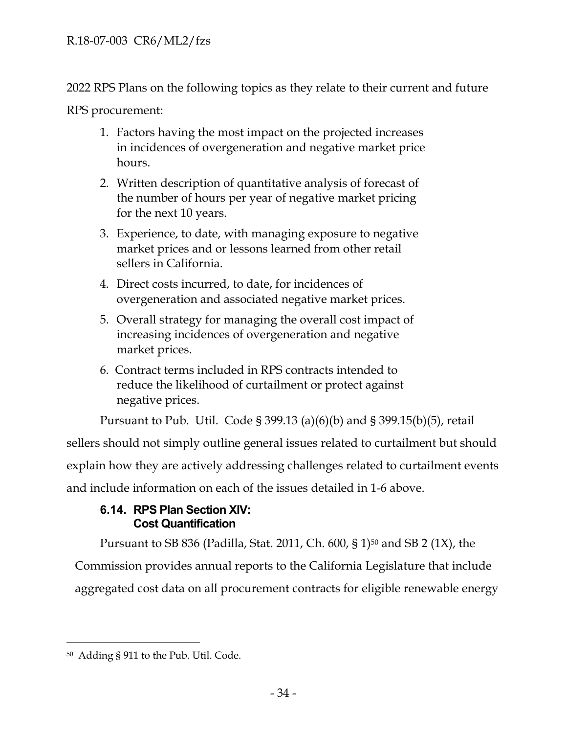2022 RPS Plans on the following topics as they relate to their current and future

RPS procurement:

- 1. Factors having the most impact on the projected increases in incidences of overgeneration and negative market price hours.
- 2. Written description of quantitative analysis of forecast of the number of hours per year of negative market pricing for the next 10 years.
- 3. Experience, to date, with managing exposure to negative market prices and or lessons learned from other retail sellers in California.
- 4. Direct costs incurred, to date, for incidences of overgeneration and associated negative market prices.
- 5. Overall strategy for managing the overall cost impact of increasing incidences of overgeneration and negative market prices.
- 6. Contract terms included in RPS contracts intended to reduce the likelihood of curtailment or protect against negative prices.

Pursuant to Pub. Util. Code § 399.13 (a)(6)(b) and § 399.15(b)(5), retail

sellers should not simply outline general issues related to curtailment but should

explain how they are actively addressing challenges related to curtailment events

and include information on each of the issues detailed in 1-6 above.

## **6.14. RPS Plan Section XIV: Cost Quantification**

Pursuant to SB 836 (Padilla, Stat. 2011, Ch. 600, § 1)<sup>50</sup> and SB 2 (1X), the Commission provides annual reports to the California Legislature that include aggregated cost data on all procurement contracts for eligible renewable energy

<sup>50</sup> Adding § 911 to the Pub. Util. Code.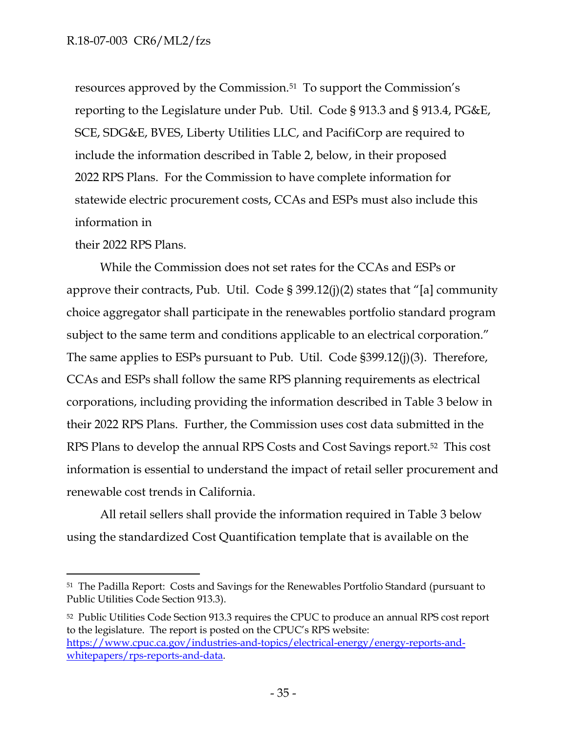resources approved by the Commission.<sup>51</sup> To support the Commission's reporting to the Legislature under Pub. Util. Code § 913.3 and § 913.4, PG&E, SCE, SDG&E, BVES, Liberty Utilities LLC, and PacifiCorp are required to include the information described in Table 2, below, in their proposed 2022 RPS Plans. For the Commission to have complete information for statewide electric procurement costs, CCAs and ESPs must also include this information in

their 2022 RPS Plans.

While the Commission does not set rates for the CCAs and ESPs or approve their contracts, Pub. Util. Code  $\S 399.12(j)(2)$  states that "[a] community choice aggregator shall participate in the renewables portfolio standard program subject to the same term and conditions applicable to an electrical corporation." The same applies to ESPs pursuant to Pub. Util. Code §399.12(j)(3). Therefore, CCAs and ESPs shall follow the same RPS planning requirements as electrical corporations, including providing the information described in Table 3 below in their 2022 RPS Plans. Further, the Commission uses cost data submitted in the RPS Plans to develop the annual RPS Costs and Cost Savings report.<sup>52</sup> This cost information is essential to understand the impact of retail seller procurement and renewable cost trends in California.

All retail sellers shall provide the information required in Table 3 below using the standardized Cost Quantification template that is available on the

<sup>51</sup> The Padilla Report: Costs and Savings for the Renewables Portfolio Standard (pursuant to Public Utilities Code Section 913.3).

<sup>52</sup> Public Utilities Code Section 913.3 requires the CPUC to produce an annual RPS cost report to the legislature. The report is posted on the CPUC's RPS website: [https://www.cpuc.ca.gov/industries-and-topics/electrical-energy/energy-reports-and](https://www.cpuc.ca.gov/industries-and-topics/electrical-energy/energy-reports-and-whitepapers/rps-reports-and-data)[whitepapers/rps-reports-and-data.](https://www.cpuc.ca.gov/industries-and-topics/electrical-energy/energy-reports-and-whitepapers/rps-reports-and-data)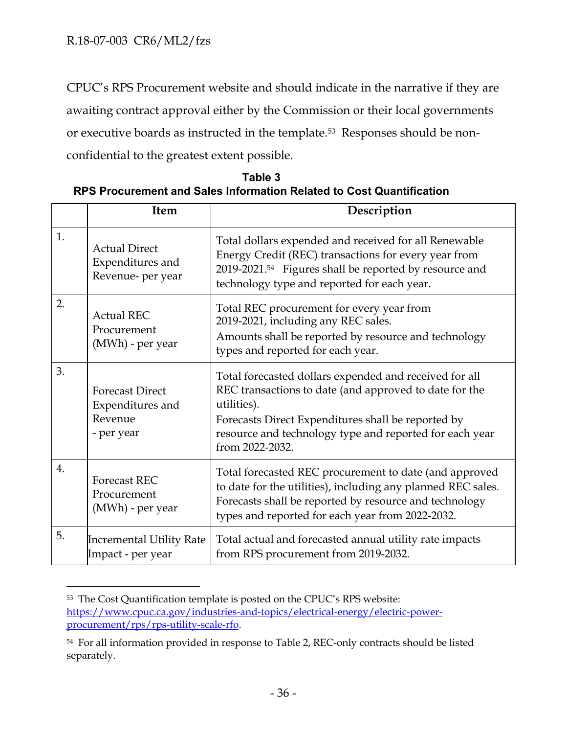CPUC's RPS Procurement website and should indicate in the narrative if they are awaiting contract approval either by the Commission or their local governments or executive boards as instructed in the template. <sup>53</sup> Responses should be nonconfidential to the greatest extent possible.

| Table 3                                                              |
|----------------------------------------------------------------------|
| RPS Procurement and Sales Information Related to Cost Quantification |

|                  | <b>Item</b>                                                         | Description                                                                                                                                                                                                                                                         |
|------------------|---------------------------------------------------------------------|---------------------------------------------------------------------------------------------------------------------------------------------------------------------------------------------------------------------------------------------------------------------|
| 1.               | <b>Actual Direct</b><br>Expenditures and<br>Revenue- per year       | Total dollars expended and received for all Renewable<br>Energy Credit (REC) transactions for every year from<br>2019-2021. <sup>54</sup> Figures shall be reported by resource and<br>technology type and reported for each year.                                  |
| 2.               | <b>Actual REC</b><br>Procurement<br>(MWh) - per year                | Total REC procurement for every year from<br>2019-2021, including any REC sales.<br>Amounts shall be reported by resource and technology<br>types and reported for each year.                                                                                       |
| 3.               | <b>Forecast Direct</b><br>Expenditures and<br>Revenue<br>- per year | Total forecasted dollars expended and received for all<br>REC transactions to date (and approved to date for the<br>utilities).<br>Forecasts Direct Expenditures shall be reported by<br>resource and technology type and reported for each year<br>from 2022-2032. |
| $\overline{4}$ . | <b>Forecast REC</b><br>Procurement<br>(MWh) - per year              | Total forecasted REC procurement to date (and approved<br>to date for the utilities), including any planned REC sales.<br>Forecasts shall be reported by resource and technology<br>types and reported for each year from 2022-2032.                                |
| 5.               | Incremental Utility Rate<br>Impact - per year                       | Total actual and forecasted annual utility rate impacts<br>from RPS procurement from 2019-2032.                                                                                                                                                                     |

<sup>53</sup> The Cost Quantification template is posted on the CPUC's RPS website: [https://www.cpuc.ca.gov/industries-and-topics/electrical-energy/electric-power](https://www.cpuc.ca.gov/industries-and-topics/electrical-energy/electric-power-procurement/rps/rps-utility-scale-rfo)[procurement/rps/rps-utility-scale-rfo.](https://www.cpuc.ca.gov/industries-and-topics/electrical-energy/electric-power-procurement/rps/rps-utility-scale-rfo)

<sup>54</sup> For all information provided in response to Table 2, REC-only contracts should be listed separately.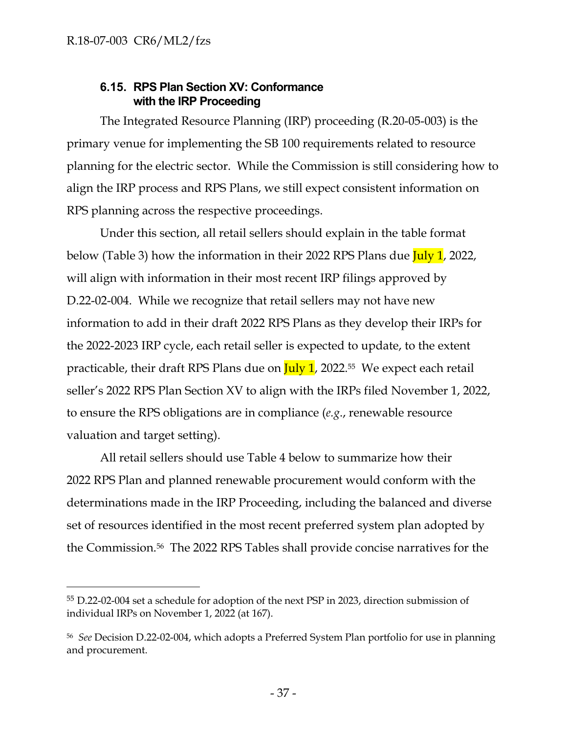## **6.15. RPS Plan Section XV: Conformance with the IRP Proceeding**

The Integrated Resource Planning (IRP) proceeding (R.20-05-003) is the primary venue for implementing the SB 100 requirements related to resource planning for the electric sector. While the Commission is still considering how to align the IRP process and RPS Plans, we still expect consistent information on RPS planning across the respective proceedings.

Under this section, all retail sellers should explain in the table format below (Table 3) how the information in their 2022 RPS Plans due July 1, 2022, will align with information in their most recent IRP filings approved by D.22-02-004. While we recognize that retail sellers may not have new information to add in their draft 2022 RPS Plans as they develop their IRPs for the 2022-2023 IRP cycle, each retail seller is expected to update, to the extent practicable, their draft RPS Plans due on  $\frac{\text{July 1}}{\text{July 1}}$ , 2022.<sup>55</sup> We expect each retail seller's 2022 RPS Plan Section XV to align with the IRPs filed November 1, 2022, to ensure the RPS obligations are in compliance (*e.g*., renewable resource valuation and target setting).

All retail sellers should use Table 4 below to summarize how their 2022 RPS Plan and planned renewable procurement would conform with the determinations made in the IRP Proceeding, including the balanced and diverse set of resources identified in the most recent preferred system plan adopted by the Commission.<sup>56</sup> The 2022 RPS Tables shall provide concise narratives for the

<sup>55</sup> D.22-02-004 set a schedule for adoption of the next PSP in 2023, direction submission of individual IRPs on November 1, 2022 (at 167).

<sup>56</sup> *See* Decision D.22-02-004, which adopts a Preferred System Plan portfolio for use in planning and procurement.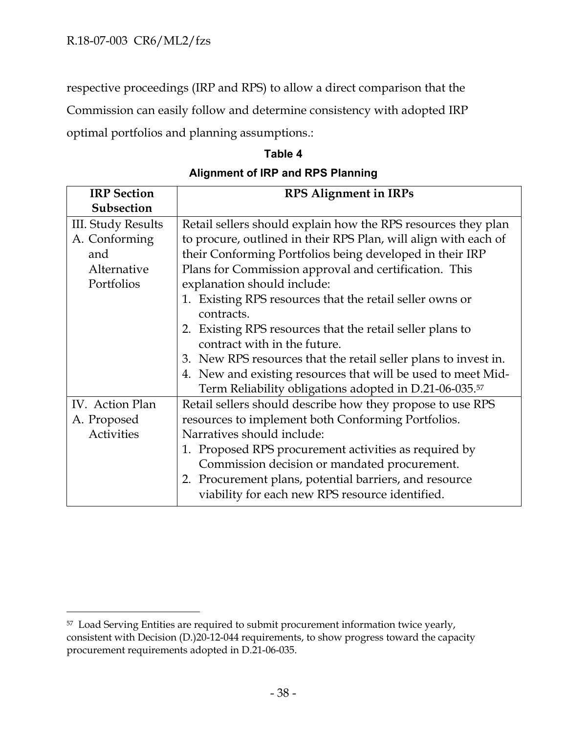respective proceedings (IRP and RPS) to allow a direct comparison that the Commission can easily follow and determine consistency with adopted IRP optimal portfolios and planning assumptions.:

#### **Table 4**

**Alignment of IRP and RPS Planning**

| <b>IRP</b> Section        | <b>RPS Alignment in IRPs</b>                                       |  |  |
|---------------------------|--------------------------------------------------------------------|--|--|
| Subsection                |                                                                    |  |  |
| <b>III. Study Results</b> | Retail sellers should explain how the RPS resources they plan      |  |  |
| A. Conforming             | to procure, outlined in their RPS Plan, will align with each of    |  |  |
| and                       | their Conforming Portfolios being developed in their IRP           |  |  |
| Alternative               | Plans for Commission approval and certification. This              |  |  |
| Portfolios                | explanation should include:                                        |  |  |
|                           | 1. Existing RPS resources that the retail seller owns or           |  |  |
|                           | contracts.                                                         |  |  |
|                           | 2. Existing RPS resources that the retail seller plans to          |  |  |
|                           | contract with in the future.                                       |  |  |
|                           | 3. New RPS resources that the retail seller plans to invest in.    |  |  |
|                           | 4. New and existing resources that will be used to meet Mid-       |  |  |
|                           | Term Reliability obligations adopted in D.21-06-035. <sup>57</sup> |  |  |
| IV. Action Plan           | Retail sellers should describe how they propose to use RPS         |  |  |
| A. Proposed               | resources to implement both Conforming Portfolios.                 |  |  |
| <b>Activities</b>         | Narratives should include:                                         |  |  |
|                           | 1. Proposed RPS procurement activities as required by              |  |  |
|                           | Commission decision or mandated procurement.                       |  |  |
|                           | 2. Procurement plans, potential barriers, and resource             |  |  |
|                           | viability for each new RPS resource identified.                    |  |  |

<sup>57</sup> Load Serving Entities are required to submit procurement information twice yearly, consistent with Decision (D.)20-12-044 requirements, to show progress toward the capacity procurement requirements adopted in D.21-06-035.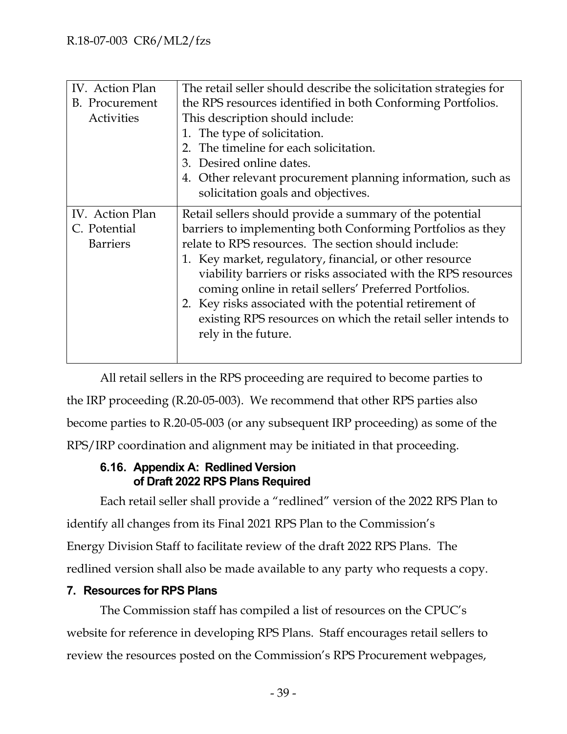| IV. Action Plan | The retail seller should describe the solicitation strategies for |
|-----------------|-------------------------------------------------------------------|
| B. Procurement  | the RPS resources identified in both Conforming Portfolios.       |
| Activities      | This description should include:                                  |
|                 | 1. The type of solicitation.                                      |
|                 | 2. The timeline for each solicitation.                            |
|                 | 3. Desired online dates.                                          |
|                 | 4. Other relevant procurement planning information, such as       |
|                 | solicitation goals and objectives.                                |
| IV. Action Plan | Retail sellers should provide a summary of the potential          |
| C. Potential    | barriers to implementing both Conforming Portfolios as they       |
| <b>Barriers</b> | relate to RPS resources. The section should include:              |
|                 | 1. Key market, regulatory, financial, or other resource           |
|                 | viability barriers or risks associated with the RPS resources     |
|                 | coming online in retail sellers' Preferred Portfolios.            |
|                 | 2. Key risks associated with the potential retirement of          |
|                 | existing RPS resources on which the retail seller intends to      |
|                 | rely in the future.                                               |
|                 |                                                                   |
|                 |                                                                   |

All retail sellers in the RPS proceeding are required to become parties to the IRP proceeding (R.20-05-003). We recommend that other RPS parties also become parties to R.20-05-003 (or any subsequent IRP proceeding) as some of the RPS/IRP coordination and alignment may be initiated in that proceeding.

## **6.16. Appendix A: Redlined Version of Draft 2022 RPS Plans Required**

Each retail seller shall provide a "redlined" version of the 2022 RPS Plan to identify all changes from its Final 2021 RPS Plan to the Commission's Energy Division Staff to facilitate review of the draft 2022 RPS Plans. The redlined version shall also be made available to any party who requests a copy.

## **7. Resources for RPS Plans**

The Commission staff has compiled a list of resources on the CPUC's website for reference in developing RPS Plans. Staff encourages retail sellers to review the resources posted on the Commission's RPS Procurement webpages,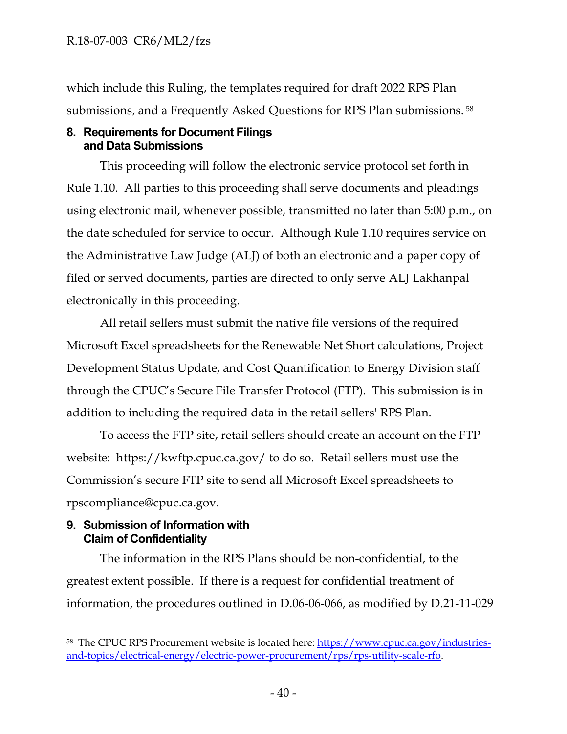which include this Ruling, the templates required for draft 2022 RPS Plan submissions, and a Frequently Asked Questions for RPS Plan submissions. <sup>58</sup>

#### **8. Requirements for Document Filings and Data Submissions**

This proceeding will follow the electronic service protocol set forth in Rule 1.10. All parties to this proceeding shall serve documents and pleadings using electronic mail, whenever possible, transmitted no later than 5:00 p.m., on the date scheduled for service to occur. Although Rule 1.10 requires service on the Administrative Law Judge (ALJ) of both an electronic and a paper copy of filed or served documents, parties are directed to only serve ALJ Lakhanpal electronically in this proceeding.

All retail sellers must submit the native file versions of the required Microsoft Excel spreadsheets for the Renewable Net Short calculations, Project Development Status Update, and Cost Quantification to Energy Division staff through the CPUC's Secure File Transfer Protocol (FTP). This submission is in addition to including the required data in the retail sellers' RPS Plan.

To access the FTP site, retail sellers should create an account on the FTP website: https://kwftp.cpuc.ca.gov/ to do so. Retail sellers must use the Commission's secure FTP site to send all Microsoft Excel spreadsheets to rpscompliance@cpuc.ca.gov.

## **9. Submission of Information with Claim of Confidentiality**

The information in the RPS Plans should be non-confidential, to the greatest extent possible. If there is a request for confidential treatment of information, the procedures outlined in D.06-06-066, as modified by D.21-11-029

<sup>58</sup> The CPUC RPS Procurement website is located here: [https://www.cpuc.ca.gov/industries](https://www.cpuc.ca.gov/industries-and-topics/electrical-energy/electric-power-procurement/rps/rps-utility-scale-rfo)[and-topics/electrical-energy/electric-power-procurement/rps/rps-utility-scale-rfo.](https://www.cpuc.ca.gov/industries-and-topics/electrical-energy/electric-power-procurement/rps/rps-utility-scale-rfo)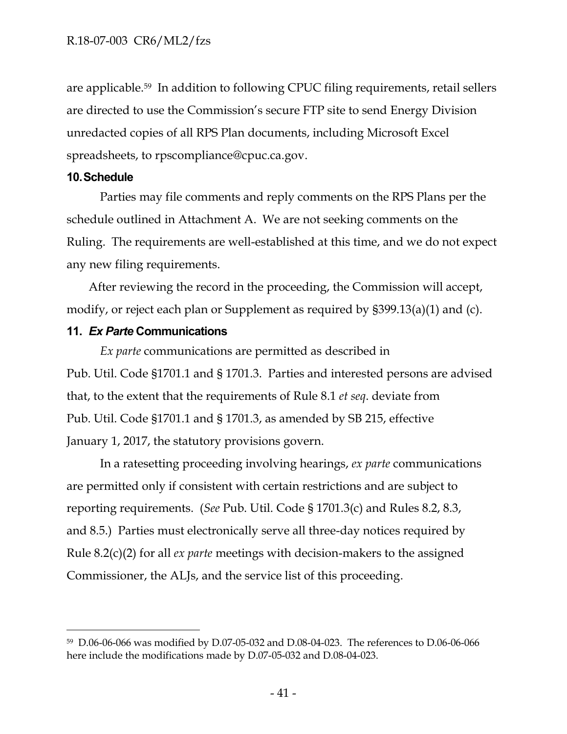are applicable. <sup>59</sup> In addition to following CPUC filing requirements, retail sellers are directed to use the Commission's secure FTP site to send Energy Division unredacted copies of all RPS Plan documents, including Microsoft Excel spreadsheets, to rpscompliance@cpuc.ca.gov.

#### **10.Schedule**

Parties may file comments and reply comments on the RPS Plans per the schedule outlined in Attachment A. We are not seeking comments on the Ruling. The requirements are well-established at this time, and we do not expect any new filing requirements.

After reviewing the record in the proceeding, the Commission will accept, modify, or reject each plan or Supplement as required by §399.13(a)(1) and (c).

#### **11.** *Ex Parte* **Communications**

*Ex parte* communications are permitted as described in Pub. Util. Code §1701.1 and § 1701.3. Parties and interested persons are advised that, to the extent that the requirements of Rule 8.1 *et seq*. deviate from Pub. Util. Code §1701.1 and § 1701.3, as amended by SB 215, effective January 1, 2017, the statutory provisions govern.

In a ratesetting proceeding involving hearings, *ex parte* communications are permitted only if consistent with certain restrictions and are subject to reporting requirements. (*See* Pub. Util. Code § 1701.3(c) and Rules 8.2, 8.3, and 8.5.) Parties must electronically serve all three-day notices required by Rule 8.2(c)(2) for all *ex parte* meetings with decision-makers to the assigned Commissioner, the ALJs, and the service list of this proceeding.

<sup>59</sup> D.06-06-066 was modified by D.07-05-032 and D.08-04-023. The references to D.06-06-066 here include the modifications made by D.07-05-032 and D.08-04-023.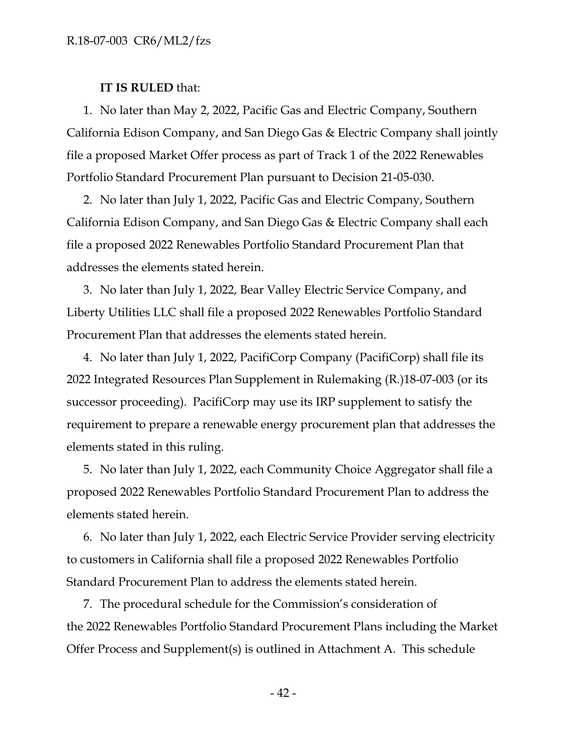#### **IT IS RULED** that:

1. No later than May 2, 2022, Pacific Gas and Electric Company, Southern California Edison Company, and San Diego Gas & Electric Company shall jointly file a proposed Market Offer process as part of Track 1 of the 2022 Renewables Portfolio Standard Procurement Plan pursuant to Decision 21-05-030.

2. No later than July 1, 2022, Pacific Gas and Electric Company, Southern California Edison Company, and San Diego Gas & Electric Company shall each file a proposed 2022 Renewables Portfolio Standard Procurement Plan that addresses the elements stated herein.

3. No later than July 1, 2022, Bear Valley Electric Service Company, and Liberty Utilities LLC shall file a proposed 2022 Renewables Portfolio Standard Procurement Plan that addresses the elements stated herein.

4. No later than July 1, 2022, PacifiCorp Company (PacifiCorp) shall file its 2022 Integrated Resources Plan Supplement in Rulemaking (R.)18-07-003 (or its successor proceeding). PacifiCorp may use its IRP supplement to satisfy the requirement to prepare a renewable energy procurement plan that addresses the elements stated in this ruling.

5. No later than July 1, 2022, each Community Choice Aggregator shall file a proposed 2022 Renewables Portfolio Standard Procurement Plan to address the elements stated herein.

6. No later than July 1, 2022, each Electric Service Provider serving electricity to customers in California shall file a proposed 2022 Renewables Portfolio Standard Procurement Plan to address the elements stated herein.

7. The procedural schedule for the Commission's consideration of the 2022 Renewables Portfolio Standard Procurement Plans including the Market Offer Process and Supplement(s) is outlined in Attachment A. This schedule

- 42 -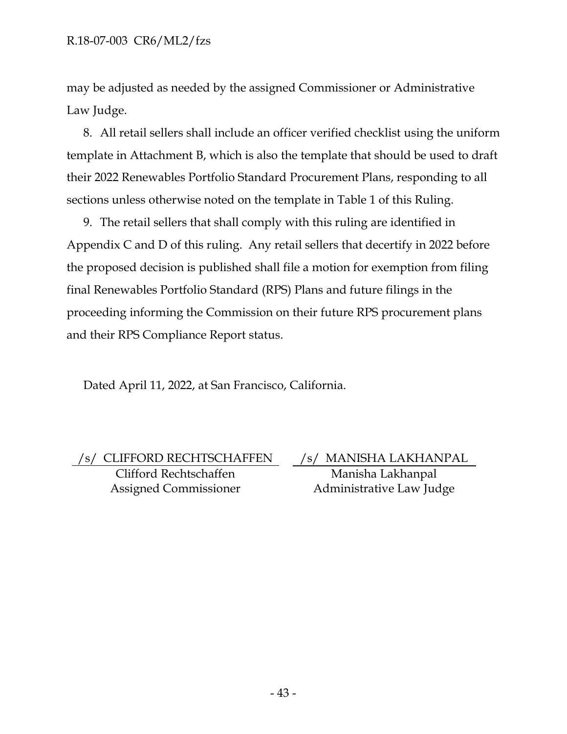may be adjusted as needed by the assigned Commissioner or Administrative Law Judge.

8. All retail sellers shall include an officer verified checklist using the uniform template in Attachment B, which is also the template that should be used to draft their 2022 Renewables Portfolio Standard Procurement Plans, responding to all sections unless otherwise noted on the template in Table 1 of this Ruling.

9. The retail sellers that shall comply with this ruling are identified in Appendix C and D of this ruling. Any retail sellers that decertify in 2022 before the proposed decision is published shall file a motion for exemption from filing final Renewables Portfolio Standard (RPS) Plans and future filings in the proceeding informing the Commission on their future RPS procurement plans and their RPS Compliance Report status.

Dated April 11, 2022, at San Francisco, California.

/s/ CLIFFORD RECHTSCHAFFEN /s/ MANISHA LAKHANPAL Clifford Rechtschaffen Assigned Commissioner

Manisha Lakhanpal Administrative Law Judge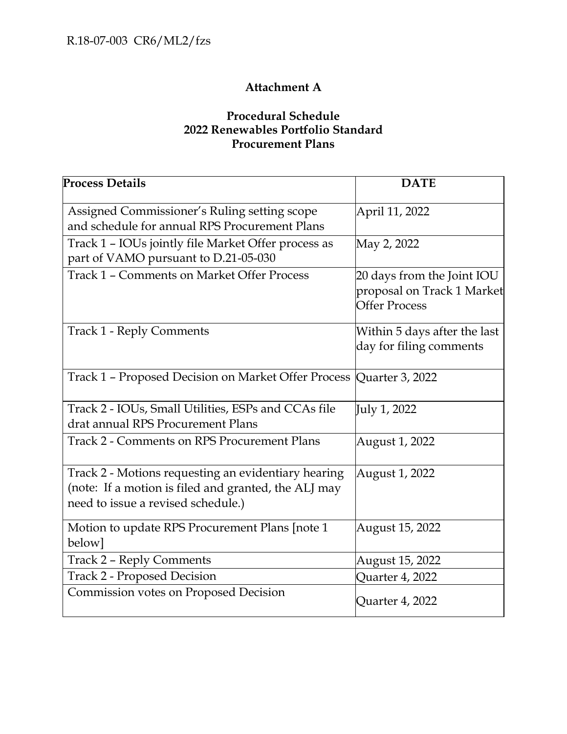## **Attachment A**

## **Procedural Schedule 2022 Renewables Portfolio Standard Procurement Plans**

| <b>Process Details</b>                                                                                                                            | <b>DATE</b>                                                                      |
|---------------------------------------------------------------------------------------------------------------------------------------------------|----------------------------------------------------------------------------------|
| Assigned Commissioner's Ruling setting scope<br>and schedule for annual RPS Procurement Plans                                                     | April 11, 2022                                                                   |
| Track 1 - IOUs jointly file Market Offer process as<br>part of VAMO pursuant to D.21-05-030                                                       | May 2, 2022                                                                      |
| Track 1 - Comments on Market Offer Process                                                                                                        | 20 days from the Joint IOU<br>proposal on Track 1 Market<br><b>Offer Process</b> |
| <b>Track 1 - Reply Comments</b>                                                                                                                   | Within 5 days after the last<br>day for filing comments                          |
| Track 1 - Proposed Decision on Market Offer Process Quarter 3, 2022                                                                               |                                                                                  |
| Track 2 - IOUs, Small Utilities, ESPs and CCAs file<br>drat annual RPS Procurement Plans                                                          | July 1, 2022                                                                     |
| <b>Track 2 - Comments on RPS Procurement Plans</b>                                                                                                | August 1, 2022                                                                   |
| Track 2 - Motions requesting an evidentiary hearing<br>(note: If a motion is filed and granted, the ALJ may<br>need to issue a revised schedule.) | August 1, 2022                                                                   |
| Motion to update RPS Procurement Plans [note 1<br>below]                                                                                          | August 15, 2022                                                                  |
| <b>Track 2 - Reply Comments</b>                                                                                                                   | August 15, 2022                                                                  |
| <b>Track 2 - Proposed Decision</b>                                                                                                                | Quarter 4, 2022                                                                  |
| Commission votes on Proposed Decision                                                                                                             | Quarter 4, 2022                                                                  |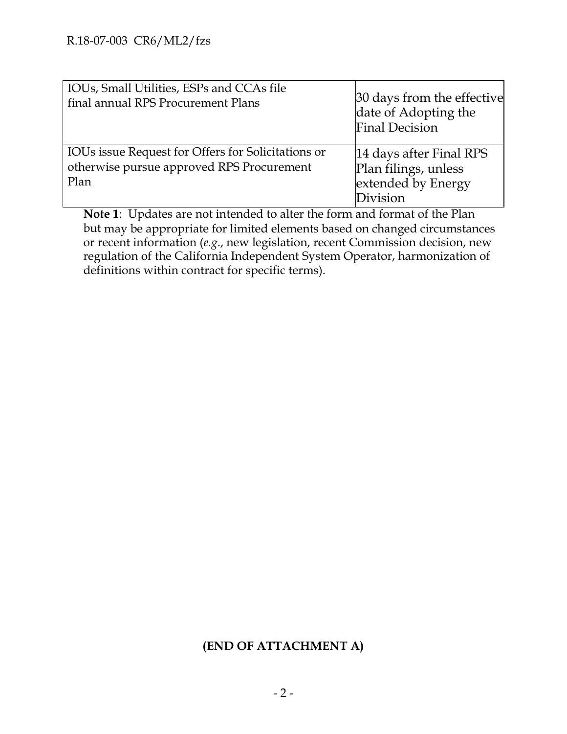| IOUs, Small Utilities, ESPs and CCAs file<br>final annual RPS Procurement Plans                         | 30 days from the effective<br>date of Adopting the<br><b>Final Decision</b>       |
|---------------------------------------------------------------------------------------------------------|-----------------------------------------------------------------------------------|
| IOUs issue Request for Offers for Solicitations or<br>otherwise pursue approved RPS Procurement<br>Plan | 14 days after Final RPS<br>Plan filings, unless<br>extended by Energy<br>Division |

**Note 1**: Updates are not intended to alter the form and format of the Plan but may be appropriate for limited elements based on changed circumstances or recent information (*e.g*., new legislation, recent Commission decision, new regulation of the California Independent System Operator, harmonization of definitions within contract for specific terms).

## **(END OF ATTACHMENT A)**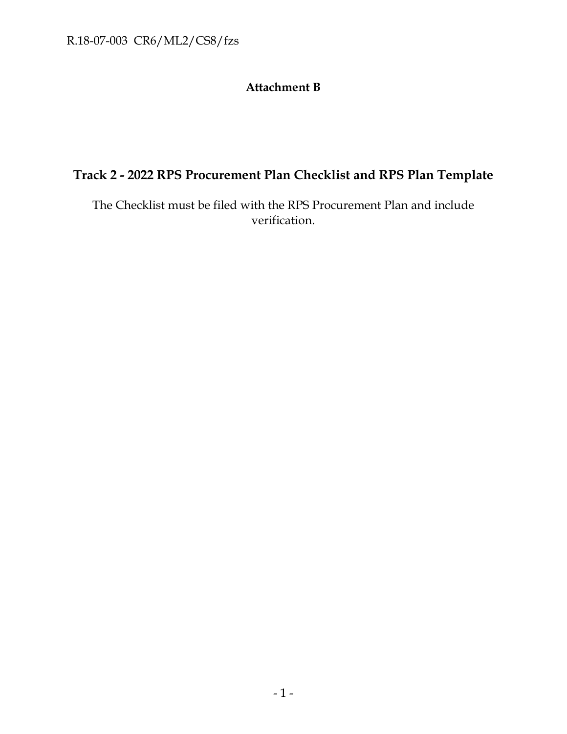## **Attachment B**

## **Track 2 - 2022 RPS Procurement Plan Checklist and RPS Plan Template**

The Checklist must be filed with the RPS Procurement Plan and include verification.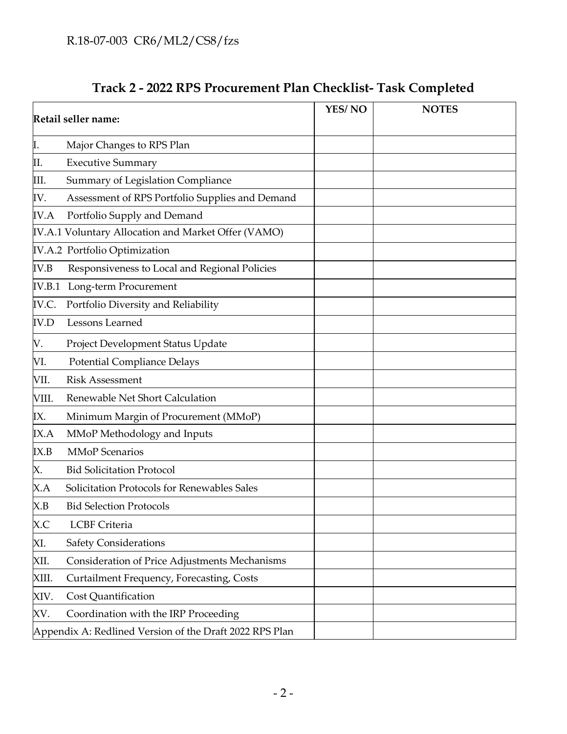| Track 2 - 2022 RPS Procurement Plan Checklist- Task Completed |
|---------------------------------------------------------------|
|---------------------------------------------------------------|

| Retail seller name: |                                                         | YES/NO | <b>NOTES</b> |
|---------------------|---------------------------------------------------------|--------|--------------|
| Ι.                  | Major Changes to RPS Plan                               |        |              |
| Ш.                  | <b>Executive Summary</b>                                |        |              |
| III.                | Summary of Legislation Compliance                       |        |              |
| IV.                 | Assessment of RPS Portfolio Supplies and Demand         |        |              |
| <b>IV.A</b>         | Portfolio Supply and Demand                             |        |              |
|                     | IV.A.1 Voluntary Allocation and Market Offer (VAMO)     |        |              |
|                     | IV.A.2 Portfolio Optimization                           |        |              |
| IV.B                | Responsiveness to Local and Regional Policies           |        |              |
|                     | IV.B.1 Long-term Procurement                            |        |              |
| IV.C.               | Portfolio Diversity and Reliability                     |        |              |
| <b>IV.D</b>         | Lessons Learned                                         |        |              |
| V.                  | Project Development Status Update                       |        |              |
| VI.                 | <b>Potential Compliance Delays</b>                      |        |              |
| VII.                | <b>Risk Assessment</b>                                  |        |              |
| VIII.               | Renewable Net Short Calculation                         |        |              |
| IX.                 | Minimum Margin of Procurement (MMoP)                    |        |              |
| IX.A                | MMoP Methodology and Inputs                             |        |              |
| IX.B                | <b>MMoP</b> Scenarios                                   |        |              |
| Х.                  | <b>Bid Solicitation Protocol</b>                        |        |              |
| X.A                 | Solicitation Protocols for Renewables Sales             |        |              |
| X.B                 | <b>Bid Selection Protocols</b>                          |        |              |
| X.C                 | <b>LCBF</b> Criteria                                    |        |              |
| XI.                 | Safety Considerations                                   |        |              |
| XII.                | Consideration of Price Adjustments Mechanisms           |        |              |
| XIII.               | Curtailment Frequency, Forecasting, Costs               |        |              |
| XIV.                | <b>Cost Quantification</b>                              |        |              |
| XV.                 | Coordination with the IRP Proceeding                    |        |              |
|                     | Appendix A: Redlined Version of the Draft 2022 RPS Plan |        |              |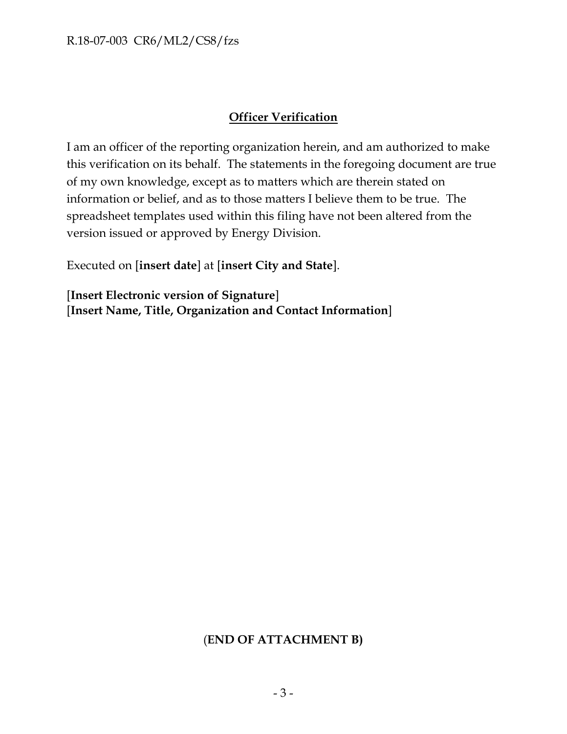## **Officer Verification**

I am an officer of the reporting organization herein, and am authorized to make this verification on its behalf. The statements in the foregoing document are true of my own knowledge, except as to matters which are therein stated on information or belief, and as to those matters I believe them to be true. The spreadsheet templates used within this filing have not been altered from the version issued or approved by Energy Division.

Executed on [**insert date**] at [**insert City and State**].

[**Insert Electronic version of Signature**] [**Insert Name, Title, Organization and Contact Information**]

## (**END OF ATTACHMENT B)**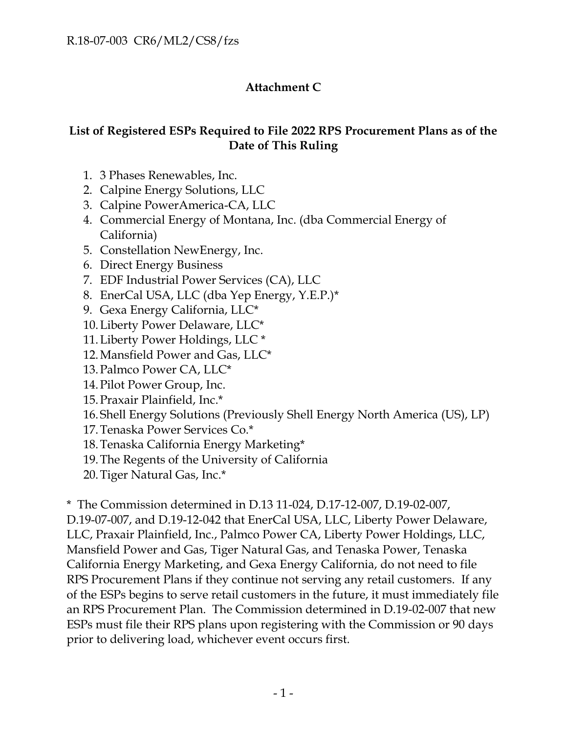## **Attachment C**

## **List of Registered ESPs Required to File 2022 RPS Procurement Plans as of the Date of This Ruling**

- 1. 3 Phases Renewables, Inc.
- 2. Calpine Energy Solutions, LLC
- 3. Calpine PowerAmerica-CA, LLC
- 4. Commercial Energy of Montana, Inc. (dba Commercial Energy of California)
- 5. Constellation NewEnergy, Inc.
- 6. Direct Energy Business
- 7. EDF Industrial Power Services (CA), LLC
- 8. EnerCal USA, LLC (dba Yep Energy, Y.E.P.)\*
- 9. Gexa Energy California, LLC\*
- 10.Liberty Power Delaware, LLC\*
- 11.Liberty Power Holdings, LLC \*
- 12.Mansfield Power and Gas, LLC\*
- 13.Palmco Power CA, LLC\*
- 14.Pilot Power Group, Inc.
- 15.Praxair Plainfield, Inc.\*
- 16. Shell Energy Solutions (Previously Shell Energy North America (US), LP)
- 17.Tenaska Power Services Co.\*
- 18.Tenaska California Energy Marketing\*
- 19.The Regents of the University of California
- 20.Tiger Natural Gas, Inc.\*

\* The Commission determined in D.13 11-024, D.17-12-007, D.19-02-007, D.19-07-007, and D.19-12-042 that EnerCal USA, LLC, Liberty Power Delaware, LLC, Praxair Plainfield, Inc., Palmco Power CA, Liberty Power Holdings, LLC, Mansfield Power and Gas, Tiger Natural Gas, and Tenaska Power, Tenaska California Energy Marketing, and Gexa Energy California, do not need to file RPS Procurement Plans if they continue not serving any retail customers. If any of the ESPs begins to serve retail customers in the future, it must immediately file an RPS Procurement Plan. The Commission determined in D.19-02-007 that new ESPs must file their RPS plans upon registering with the Commission or 90 days prior to delivering load, whichever event occurs first.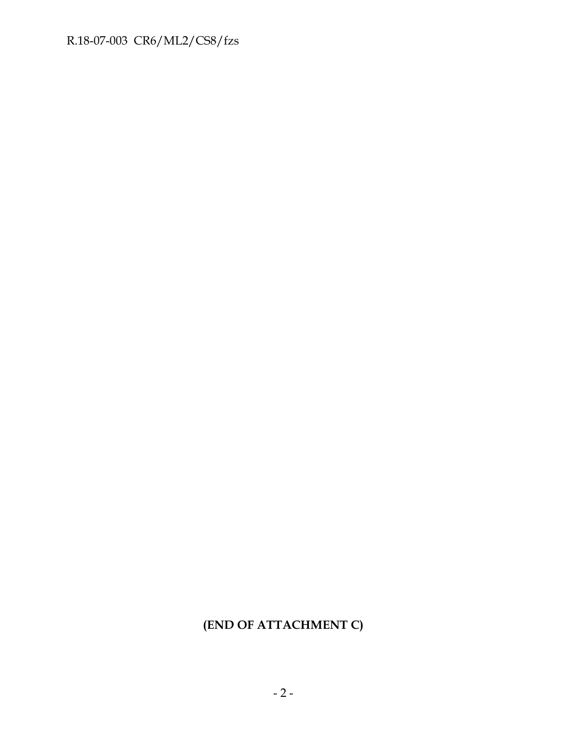## R.18-07-003 CR6/ML2/CS8/fzs

## **(END OF ATTACHMENT C)**